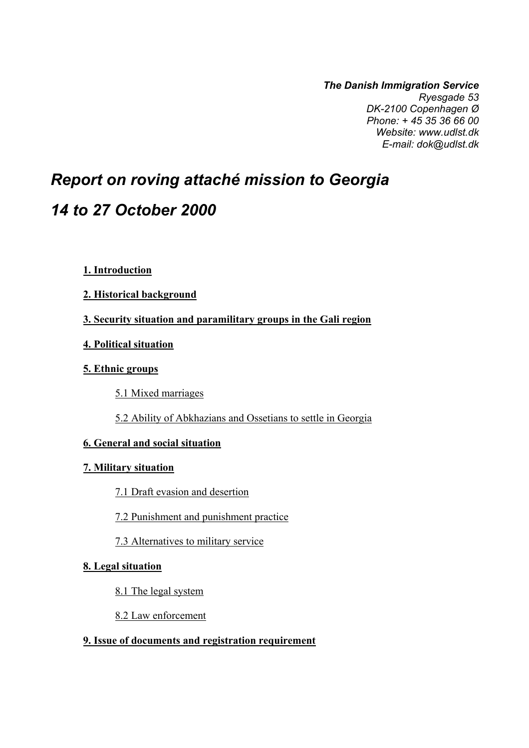*The Danish Immigration Service Ryesgade 53 DK-2100 Copenhagen Ø Phone: + 45 35 36 66 00 Website: www.udlst.dk E-mail: dok@udlst.dk*

# *Report on roving attaché mission to Georgia 14 to 27 October 2000*

- **1. Introduction**
- **2. Historical background**
- **3. Security situation and paramilitary groups in the Gali region**
- **4. Political situation**
- **5. Ethnic groups** 
	- 5.1 Mixed marriages
	- 5.2 Ability of Abkhazians and Ossetians to settle in Georgia

## **6. General and social situation**

#### **7. Military situation**

- 7.1 Draft evasion and desertion
- 7.2 Punishment and punishment practice
- 7.3 Alternatives to military service

## **8. Legal situation**

- 8.1 The legal system
- 8.2 Law enforcement

#### **9. Issue of documents and registration requirement**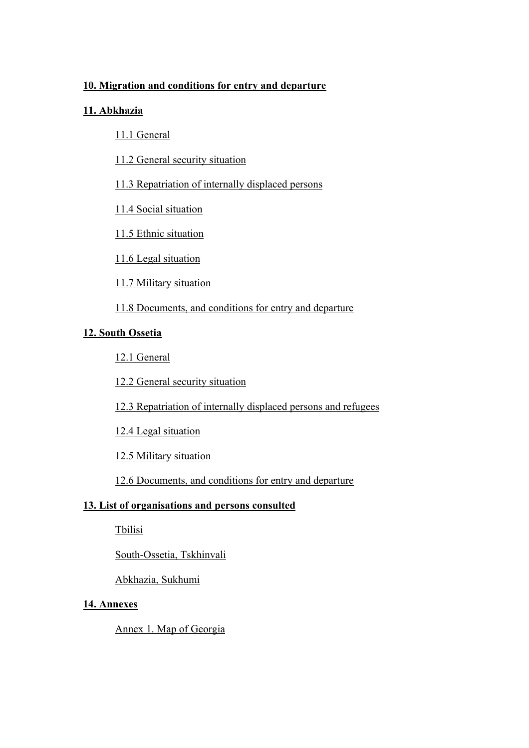## **10. Migration and conditions for entry and departure**

## **11. Abkhazia**

- 11.1 General
- 11.2 General security situation
- 11.3 Repatriation of internally displaced persons
- 11.4 Social situation
- 11.5 Ethnic situation
- 11.6 Legal situation
- 11.7 Military situation
- 11.8 Documents, and conditions for entry and departure

#### **12. South Ossetia**

- 12.1 General
- 12.2 General security situation
- 12.3 Repatriation of internally displaced persons and refugees
- 12.4 Legal situation
- 12.5 Military situation
- 12.6 Documents, and conditions for entry and departure

#### **13. List of organisations and persons consulted**

Tbilisi

South-Ossetia, Tskhinvali

Abkhazia, Sukhumi

#### **14. Annexes**

Annex 1. Map of Georgia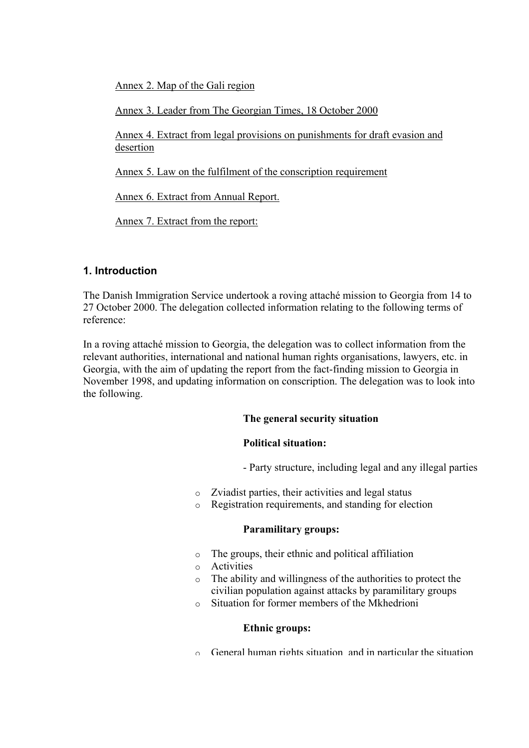Annex 2. Map of the Gali region

Annex 3. Leader from The Georgian Times, 18 October 2000

Annex 4. Extract from legal provisions on punishments for draft evasion and desertion

Annex 5. Law on the fulfilment of the conscription requirement

Annex 6. Extract from Annual Report.

Annex 7. Extract from the report:

## **1. Introduction**

The Danish Immigration Service undertook a roving attaché mission to Georgia from 14 to 27 October 2000. The delegation collected information relating to the following terms of reference:

In a roving attaché mission to Georgia, the delegation was to collect information from the relevant authorities, international and national human rights organisations, lawyers, etc. in Georgia, with the aim of updating the report from the fact-finding mission to Georgia in November 1998, and updating information on conscription. The delegation was to look into the following.

#### **The general security situation**

#### **Political situation:**

- Party structure, including legal and any illegal parties

- o Zviadist parties, their activities and legal status
- o Registration requirements, and standing for election

#### **Paramilitary groups:**

- o The groups, their ethnic and political affiliation
- o Activities
- o The ability and willingness of the authorities to protect the civilian population against attacks by paramilitary groups
- o Situation for former members of the Mkhedrioni

#### **Ethnic groups:**

o General human rights situation and in particular the situation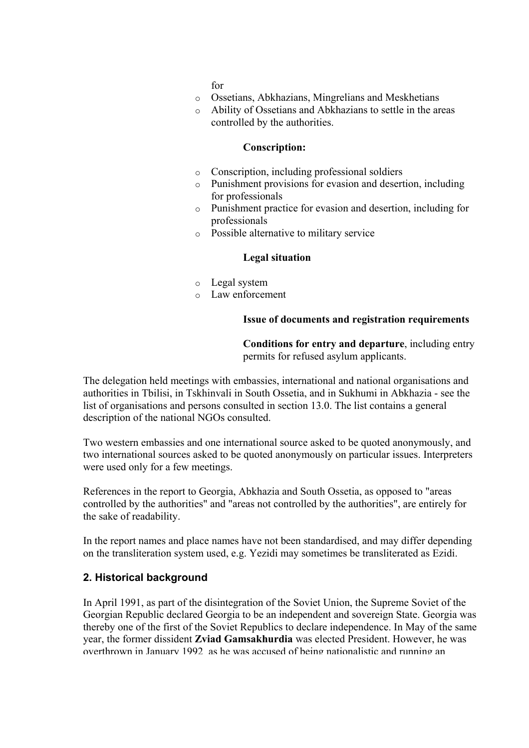for

- o Ossetians, Abkhazians, Mingrelians and Meskhetians
- o Ability of Ossetians and Abkhazians to settle in the areas controlled by the authorities.

#### **Conscription:**

- o Conscription, including professional soldiers
- o Punishment provisions for evasion and desertion, including for professionals
- o Punishment practice for evasion and desertion, including for professionals
- o Possible alternative to military service

#### **Legal situation**

- o Legal system
- o Law enforcement

#### **Issue of documents and registration requirements**

**Conditions for entry and departure**, including entry permits for refused asylum applicants.

The delegation held meetings with embassies, international and national organisations and authorities in Tbilisi, in Tskhinvali in South Ossetia, and in Sukhumi in Abkhazia - see the list of organisations and persons consulted in section 13.0. The list contains a general description of the national NGOs consulted.

Two western embassies and one international source asked to be quoted anonymously, and two international sources asked to be quoted anonymously on particular issues. Interpreters were used only for a few meetings.

References in the report to Georgia, Abkhazia and South Ossetia, as opposed to "areas controlled by the authorities" and "areas not controlled by the authorities", are entirely for the sake of readability.

In the report names and place names have not been standardised, and may differ depending on the transliteration system used, e.g. Yezidi may sometimes be transliterated as Ezidi.

#### **2. Historical background**

In April 1991, as part of the disintegration of the Soviet Union, the Supreme Soviet of the Georgian Republic declared Georgia to be an independent and sovereign State. Georgia was thereby one of the first of the Soviet Republics to declare independence. In May of the same year, the former dissident **Zviad Gamsakhurdia** was elected President. However, he was overthrown in January 1992 as he was accused of being nationalistic and running an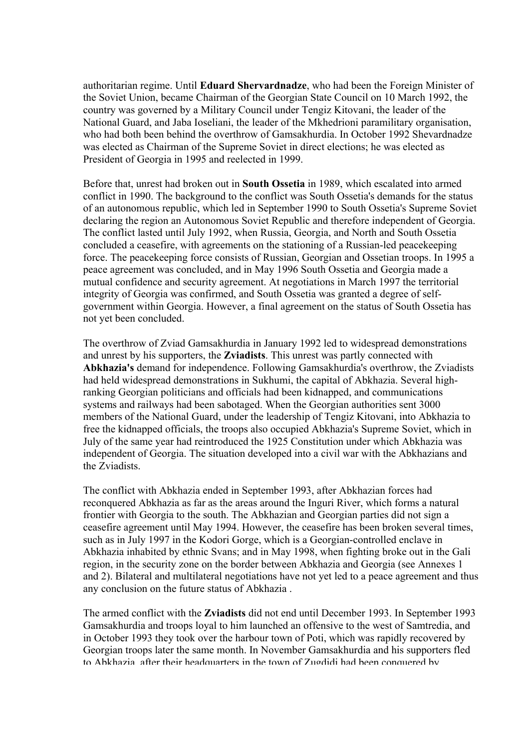authoritarian regime. Until **Eduard Shervardnadze**, who had been the Foreign Minister of the Soviet Union, became Chairman of the Georgian State Council on 10 March 1992, the country was governed by a Military Council under Tengiz Kitovani, the leader of the National Guard, and Jaba Ioseliani, the leader of the Mkhedrioni paramilitary organisation, who had both been behind the overthrow of Gamsakhurdia. In October 1992 Shevardnadze was elected as Chairman of the Supreme Soviet in direct elections; he was elected as President of Georgia in 1995 and reelected in 1999.

Before that, unrest had broken out in **South Ossetia** in 1989, which escalated into armed conflict in 1990. The background to the conflict was South Ossetia's demands for the status of an autonomous republic, which led in September 1990 to South Ossetia's Supreme Soviet declaring the region an Autonomous Soviet Republic and therefore independent of Georgia. The conflict lasted until July 1992, when Russia, Georgia, and North and South Ossetia concluded a ceasefire, with agreements on the stationing of a Russian-led peacekeeping force. The peacekeeping force consists of Russian, Georgian and Ossetian troops. In 1995 a peace agreement was concluded, and in May 1996 South Ossetia and Georgia made a mutual confidence and security agreement. At negotiations in March 1997 the territorial integrity of Georgia was confirmed, and South Ossetia was granted a degree of selfgovernment within Georgia. However, a final agreement on the status of South Ossetia has not yet been concluded.

The overthrow of Zviad Gamsakhurdia in January 1992 led to widespread demonstrations and unrest by his supporters, the **Zviadists**. This unrest was partly connected with **Abkhazia's** demand for independence. Following Gamsakhurdia's overthrow, the Zviadists had held widespread demonstrations in Sukhumi, the capital of Abkhazia. Several highranking Georgian politicians and officials had been kidnapped, and communications systems and railways had been sabotaged. When the Georgian authorities sent 3000 members of the National Guard, under the leadership of Tengiz Kitovani, into Abkhazia to free the kidnapped officials, the troops also occupied Abkhazia's Supreme Soviet, which in July of the same year had reintroduced the 1925 Constitution under which Abkhazia was independent of Georgia. The situation developed into a civil war with the Abkhazians and the Zviadists.

The conflict with Abkhazia ended in September 1993, after Abkhazian forces had reconquered Abkhazia as far as the areas around the Inguri River, which forms a natural frontier with Georgia to the south. The Abkhazian and Georgian parties did not sign a ceasefire agreement until May 1994. However, the ceasefire has been broken several times, such as in July 1997 in the Kodori Gorge, which is a Georgian-controlled enclave in Abkhazia inhabited by ethnic Svans; and in May 1998, when fighting broke out in the Gali region, in the security zone on the border between Abkhazia and Georgia (see Annexes 1 and 2). Bilateral and multilateral negotiations have not yet led to a peace agreement and thus any conclusion on the future status of Abkhazia .

The armed conflict with the **Zviadists** did not end until December 1993. In September 1993 Gamsakhurdia and troops loyal to him launched an offensive to the west of Samtredia, and in October 1993 they took over the harbour town of Poti, which was rapidly recovered by Georgian troops later the same month. In November Gamsakhurdia and his supporters fled to Abkhazia after their headquarters in the town of Zugdidi had been conquered by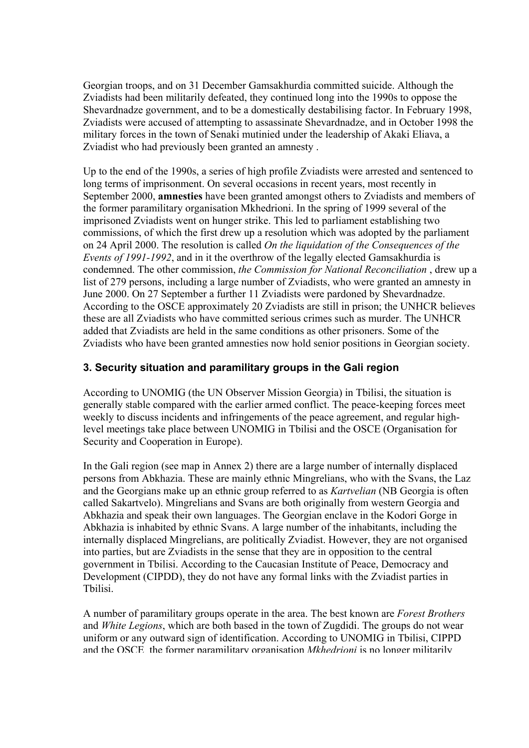Georgian troops, and on 31 December Gamsakhurdia committed suicide. Although the Zviadists had been militarily defeated, they continued long into the 1990s to oppose the Shevardnadze government, and to be a domestically destabilising factor. In February 1998, Zviadists were accused of attempting to assassinate Shevardnadze, and in October 1998 the military forces in the town of Senaki mutinied under the leadership of Akaki Eliava, a Zviadist who had previously been granted an amnesty .

Up to the end of the 1990s, a series of high profile Zviadists were arrested and sentenced to long terms of imprisonment. On several occasions in recent years, most recently in September 2000, **amnesties** have been granted amongst others to Zviadists and members of the former paramilitary organisation Mkhedrioni. In the spring of 1999 several of the imprisoned Zviadists went on hunger strike. This led to parliament establishing two commissions, of which the first drew up a resolution which was adopted by the parliament on 24 April 2000. The resolution is called *On the liquidation of the Consequences of the Events of 1991-1992*, and in it the overthrow of the legally elected Gamsakhurdia is condemned. The other commission, *the Commission for National Reconciliation* , drew up a list of 279 persons, including a large number of Zviadists, who were granted an amnesty in June 2000. On 27 September a further 11 Zviadists were pardoned by Shevardnadze. According to the OSCE approximately 20 Zviadists are still in prison; the UNHCR believes these are all Zviadists who have committed serious crimes such as murder. The UNHCR added that Zviadists are held in the same conditions as other prisoners. Some of the Zviadists who have been granted amnesties now hold senior positions in Georgian society.

## **3. Security situation and paramilitary groups in the Gali region**

According to UNOMIG (the UN Observer Mission Georgia) in Tbilisi, the situation is generally stable compared with the earlier armed conflict. The peace-keeping forces meet weekly to discuss incidents and infringements of the peace agreement, and regular highlevel meetings take place between UNOMIG in Tbilisi and the OSCE (Organisation for Security and Cooperation in Europe).

In the Gali region (see map in Annex 2) there are a large number of internally displaced persons from Abkhazia. These are mainly ethnic Mingrelians, who with the Svans, the Laz and the Georgians make up an ethnic group referred to as *Kartvelian* (NB Georgia is often called Sakartvelo). Mingrelians and Svans are both originally from western Georgia and Abkhazia and speak their own languages. The Georgian enclave in the Kodori Gorge in Abkhazia is inhabited by ethnic Svans. A large number of the inhabitants, including the internally displaced Mingrelians, are politically Zviadist. However, they are not organised into parties, but are Zviadists in the sense that they are in opposition to the central government in Tbilisi. According to the Caucasian Institute of Peace, Democracy and Development (CIPDD), they do not have any formal links with the Zviadist parties in Tbilisi.

A number of paramilitary groups operate in the area. The best known are *Forest Brothers* and *White Legions*, which are both based in the town of Zugdidi. The groups do not wear uniform or any outward sign of identification. According to UNOMIG in Tbilisi, CIPPD and the OSCE the former paramilitary organisation *Mkhedrioni* is no longer militarily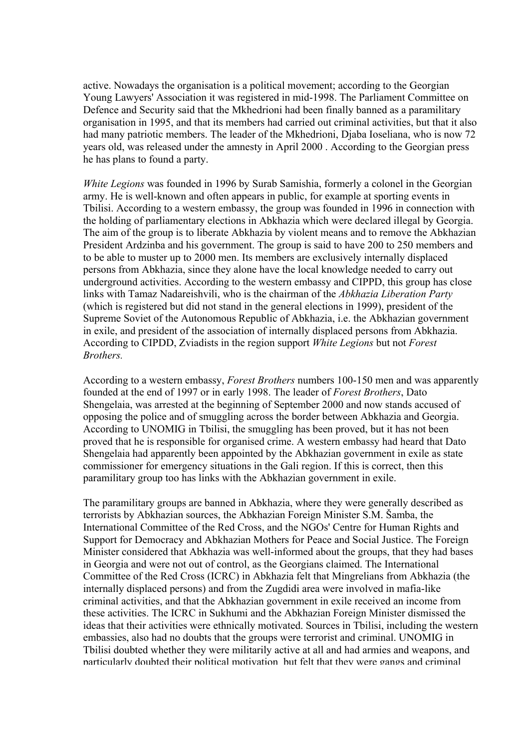active. Nowadays the organisation is a political movement; according to the Georgian Young Lawyers' Association it was registered in mid-1998. The Parliament Committee on Defence and Security said that the Mkhedrioni had been finally banned as a paramilitary organisation in 1995, and that its members had carried out criminal activities, but that it also had many patriotic members. The leader of the Mkhedrioni, Djaba Ioseliana, who is now 72 years old, was released under the amnesty in April 2000 . According to the Georgian press he has plans to found a party.

*White Legions* was founded in 1996 by Surab Samishia, formerly a colonel in the Georgian army. He is well-known and often appears in public, for example at sporting events in Tbilisi. According to a western embassy, the group was founded in 1996 in connection with the holding of parliamentary elections in Abkhazia which were declared illegal by Georgia. The aim of the group is to liberate Abkhazia by violent means and to remove the Abkhazian President Ardzinba and his government. The group is said to have 200 to 250 members and to be able to muster up to 2000 men. Its members are exclusively internally displaced persons from Abkhazia, since they alone have the local knowledge needed to carry out underground activities. According to the western embassy and CIPPD, this group has close links with Tamaz Nadareishvili, who is the chairman of the *Abkhazia Liberation Party* (which is registered but did not stand in the general elections in 1999), president of the Supreme Soviet of the Autonomous Republic of Abkhazia, i.e. the Abkhazian government in exile, and president of the association of internally displaced persons from Abkhazia. According to CIPDD, Zviadists in the region support *White Legions* but not *Forest Brothers.* 

According to a western embassy, *Forest Brothers* numbers 100-150 men and was apparently founded at the end of 1997 or in early 1998. The leader of *Forest Brothers*, Dato Shengelaia, was arrested at the beginning of September 2000 and now stands accused of opposing the police and of smuggling across the border between Abkhazia and Georgia. According to UNOMIG in Tbilisi, the smuggling has been proved, but it has not been proved that he is responsible for organised crime. A western embassy had heard that Dato Shengelaia had apparently been appointed by the Abkhazian government in exile as state commissioner for emergency situations in the Gali region. If this is correct, then this paramilitary group too has links with the Abkhazian government in exile.

The paramilitary groups are banned in Abkhazia, where they were generally described as terrorists by Abkhazian sources, the Abkhazian Foreign Minister S.M. Šamba, the International Committee of the Red Cross, and the NGOs' Centre for Human Rights and Support for Democracy and Abkhazian Mothers for Peace and Social Justice. The Foreign Minister considered that Abkhazia was well-informed about the groups, that they had bases in Georgia and were not out of control, as the Georgians claimed. The International Committee of the Red Cross (ICRC) in Abkhazia felt that Mingrelians from Abkhazia (the internally displaced persons) and from the Zugdidi area were involved in mafia-like criminal activities, and that the Abkhazian government in exile received an income from these activities. The ICRC in Sukhumi and the Abkhazian Foreign Minister dismissed the ideas that their activities were ethnically motivated. Sources in Tbilisi, including the western embassies, also had no doubts that the groups were terrorist and criminal. UNOMIG in Tbilisi doubted whether they were militarily active at all and had armies and weapons, and particularly doubted their political motivation but felt that they were gangs and criminal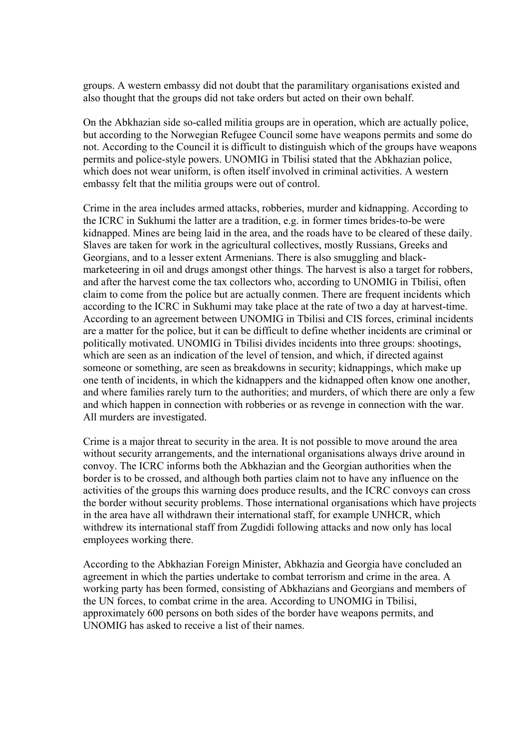groups. A western embassy did not doubt that the paramilitary organisations existed and also thought that the groups did not take orders but acted on their own behalf.

On the Abkhazian side so-called militia groups are in operation, which are actually police, but according to the Norwegian Refugee Council some have weapons permits and some do not. According to the Council it is difficult to distinguish which of the groups have weapons permits and police-style powers. UNOMIG in Tbilisi stated that the Abkhazian police, which does not wear uniform, is often itself involved in criminal activities. A western embassy felt that the militia groups were out of control.

Crime in the area includes armed attacks, robberies, murder and kidnapping. According to the ICRC in Sukhumi the latter are a tradition, e.g. in former times brides-to-be were kidnapped. Mines are being laid in the area, and the roads have to be cleared of these daily. Slaves are taken for work in the agricultural collectives, mostly Russians, Greeks and Georgians, and to a lesser extent Armenians. There is also smuggling and blackmarketeering in oil and drugs amongst other things. The harvest is also a target for robbers, and after the harvest come the tax collectors who, according to UNOMIG in Tbilisi, often claim to come from the police but are actually conmen. There are frequent incidents which according to the ICRC in Sukhumi may take place at the rate of two a day at harvest-time. According to an agreement between UNOMIG in Tbilisi and CIS forces, criminal incidents are a matter for the police, but it can be difficult to define whether incidents are criminal or politically motivated. UNOMIG in Tbilisi divides incidents into three groups: shootings, which are seen as an indication of the level of tension, and which, if directed against someone or something, are seen as breakdowns in security; kidnappings, which make up one tenth of incidents, in which the kidnappers and the kidnapped often know one another, and where families rarely turn to the authorities; and murders, of which there are only a few and which happen in connection with robberies or as revenge in connection with the war. All murders are investigated.

Crime is a major threat to security in the area. It is not possible to move around the area without security arrangements, and the international organisations always drive around in convoy. The ICRC informs both the Abkhazian and the Georgian authorities when the border is to be crossed, and although both parties claim not to have any influence on the activities of the groups this warning does produce results, and the ICRC convoys can cross the border without security problems. Those international organisations which have projects in the area have all withdrawn their international staff, for example UNHCR, which withdrew its international staff from Zugdidi following attacks and now only has local employees working there.

According to the Abkhazian Foreign Minister, Abkhazia and Georgia have concluded an agreement in which the parties undertake to combat terrorism and crime in the area. A working party has been formed, consisting of Abkhazians and Georgians and members of the UN forces, to combat crime in the area. According to UNOMIG in Tbilisi, approximately 600 persons on both sides of the border have weapons permits, and UNOMIG has asked to receive a list of their names.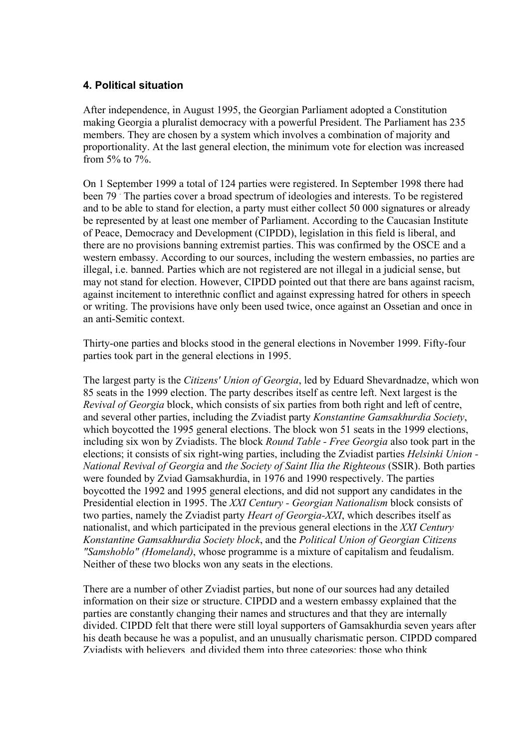## **4. Political situation**

After independence, in August 1995, the Georgian Parliament adopted a Constitution making Georgia a pluralist democracy with a powerful President. The Parliament has 235 members. They are chosen by a system which involves a combination of majority and proportionality. At the last general election, the minimum vote for election was increased from 5% to 7%.

On 1 September 1999 a total of 124 parties were registered. In September 1998 there had been 79<sup>1</sup> The parties cover a broad spectrum of ideologies and interests. To be registered and to be able to stand for election, a party must either collect 50 000 signatures or already be represented by at least one member of Parliament. According to the Caucasian Institute of Peace, Democracy and Development (CIPDD), legislation in this field is liberal, and there are no provisions banning extremist parties. This was confirmed by the OSCE and a western embassy. According to our sources, including the western embassies, no parties are illegal, i.e. banned. Parties which are not registered are not illegal in a judicial sense, but may not stand for election. However, CIPDD pointed out that there are bans against racism, against incitement to interethnic conflict and against expressing hatred for others in speech or writing. The provisions have only been used twice, once against an Ossetian and once in an anti-Semitic context.

Thirty-one parties and blocks stood in the general elections in November 1999. Fifty-four parties took part in the general elections in 1995.

The largest party is the *Citizens' Union of Georgia*, led by Eduard Shevardnadze, which won 85 seats in the 1999 election. The party describes itself as centre left. Next largest is the *Revival of Georgia* block, which consists of six parties from both right and left of centre, and several other parties, including the Zviadist party *Konstantine Gamsakhurdia Society*, which boycotted the 1995 general elections. The block won 51 seats in the 1999 elections, including six won by Zviadists. The block *Round Table - Free Georgia* also took part in the elections; it consists of six right-wing parties, including the Zviadist parties *Helsinki Union - National Revival of Georgia* and *the Society of Saint Ilia the Righteous* (SSIR). Both parties were founded by Zviad Gamsakhurdia, in 1976 and 1990 respectively. The parties boycotted the 1992 and 1995 general elections, and did not support any candidates in the Presidential election in 1995. The *XXI Century - Georgian Nationalism* block consists of two parties, namely the Zviadist party *Heart of Georgia-XXI*, which describes itself as nationalist, and which participated in the previous general elections in the *XXI Century Konstantine Gamsakhurdia Society block*, and the *Political Union of Georgian Citizens "Samshoblo" (Homeland)*, whose programme is a mixture of capitalism and feudalism. Neither of these two blocks won any seats in the elections.

There are a number of other Zviadist parties, but none of our sources had any detailed information on their size or structure. CIPDD and a western embassy explained that the parties are constantly changing their names and structures and that they are internally divided. CIPDD felt that there were still loyal supporters of Gamsakhurdia seven years after his death because he was a populist, and an unusually charismatic person. CIPDD compared Zviadists with believers and divided them into three categories: those who think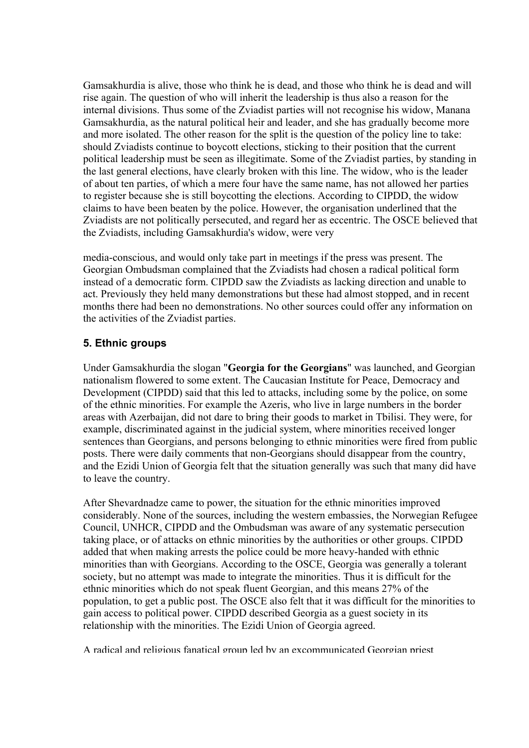Gamsakhurdia is alive, those who think he is dead, and those who think he is dead and will rise again. The question of who will inherit the leadership is thus also a reason for the internal divisions. Thus some of the Zviadist parties will not recognise his widow, Manana Gamsakhurdia, as the natural political heir and leader, and she has gradually become more and more isolated. The other reason for the split is the question of the policy line to take: should Zviadists continue to boycott elections, sticking to their position that the current political leadership must be seen as illegitimate. Some of the Zviadist parties, by standing in the last general elections, have clearly broken with this line. The widow, who is the leader of about ten parties, of which a mere four have the same name, has not allowed her parties to register because she is still boycotting the elections. According to CIPDD, the widow claims to have been beaten by the police. However, the organisation underlined that the Zviadists are not politically persecuted, and regard her as eccentric. The OSCE believed that the Zviadists, including Gamsakhurdia's widow, were very

media-conscious, and would only take part in meetings if the press was present. The Georgian Ombudsman complained that the Zviadists had chosen a radical political form instead of a democratic form. CIPDD saw the Zviadists as lacking direction and unable to act. Previously they held many demonstrations but these had almost stopped, and in recent months there had been no demonstrations. No other sources could offer any information on the activities of the Zviadist parties.

## **5. Ethnic groups**

Under Gamsakhurdia the slogan "**Georgia for the Georgians**" was launched, and Georgian nationalism flowered to some extent. The Caucasian Institute for Peace, Democracy and Development (CIPDD) said that this led to attacks, including some by the police, on some of the ethnic minorities. For example the Azeris, who live in large numbers in the border areas with Azerbaijan, did not dare to bring their goods to market in Tbilisi. They were, for example, discriminated against in the judicial system, where minorities received longer sentences than Georgians, and persons belonging to ethnic minorities were fired from public posts. There were daily comments that non-Georgians should disappear from the country, and the Ezidi Union of Georgia felt that the situation generally was such that many did have to leave the country.

After Shevardnadze came to power, the situation for the ethnic minorities improved considerably. None of the sources, including the western embassies, the Norwegian Refugee Council, UNHCR, CIPDD and the Ombudsman was aware of any systematic persecution taking place, or of attacks on ethnic minorities by the authorities or other groups. CIPDD added that when making arrests the police could be more heavy-handed with ethnic minorities than with Georgians. According to the OSCE, Georgia was generally a tolerant society, but no attempt was made to integrate the minorities. Thus it is difficult for the ethnic minorities which do not speak fluent Georgian, and this means 27% of the population, to get a public post. The OSCE also felt that it was difficult for the minorities to gain access to political power. CIPDD described Georgia as a guest society in its relationship with the minorities. The Ezidi Union of Georgia agreed.

A radical and religious fanatical group led by an excommunicated Georgian priest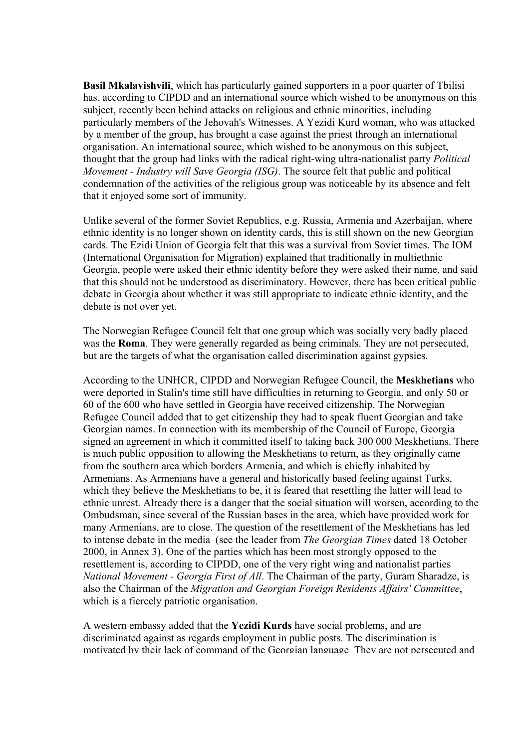**Basil Mkalavishvili**, which has particularly gained supporters in a poor quarter of Tbilisi has, according to CIPDD and an international source which wished to be anonymous on this subject, recently been behind attacks on religious and ethnic minorities, including particularly members of the Jehovah's Witnesses. A Yezidi Kurd woman, who was attacked by a member of the group, has brought a case against the priest through an international organisation. An international source, which wished to be anonymous on this subject, thought that the group had links with the radical right-wing ultra-nationalist party *Political Movement - Industry will Save Georgia (ISG)*. The source felt that public and political condemnation of the activities of the religious group was noticeable by its absence and felt that it enjoyed some sort of immunity.

Unlike several of the former Soviet Republics, e.g. Russia, Armenia and Azerbaijan, where ethnic identity is no longer shown on identity cards, this is still shown on the new Georgian cards. The Ezidi Union of Georgia felt that this was a survival from Soviet times. The IOM (International Organisation for Migration) explained that traditionally in multiethnic Georgia, people were asked their ethnic identity before they were asked their name, and said that this should not be understood as discriminatory. However, there has been critical public debate in Georgia about whether it was still appropriate to indicate ethnic identity, and the debate is not over yet.

The Norwegian Refugee Council felt that one group which was socially very badly placed was the **Roma**. They were generally regarded as being criminals. They are not persecuted, but are the targets of what the organisation called discrimination against gypsies.

According to the UNHCR, CIPDD and Norwegian Refugee Council, the **Meskhetians** who were deported in Stalin's time still have difficulties in returning to Georgia, and only 50 or 60 of the 600 who have settled in Georgia have received citizenship. The Norwegian Refugee Council added that to get citizenship they had to speak fluent Georgian and take Georgian names. In connection with its membership of the Council of Europe, Georgia signed an agreement in which it committed itself to taking back 300 000 Meskhetians. There is much public opposition to allowing the Meskhetians to return, as they originally came from the southern area which borders Armenia, and which is chiefly inhabited by Armenians. As Armenians have a general and historically based feeling against Turks, which they believe the Meskhetians to be, it is feared that resettling the latter will lead to ethnic unrest. Already there is a danger that the social situation will worsen, according to the Ombudsman, since several of the Russian bases in the area, which have provided work for many Armenians, are to close. The question of the resettlement of the Meskhetians has led to intense debate in the media (see the leader from *The Georgian Times* dated 18 October 2000, in Annex 3). One of the parties which has been most strongly opposed to the resettlement is, according to CIPDD, one of the very right wing and nationalist parties *National Movement - Georgia First of All*. The Chairman of the party, Guram Sharadze, is also the Chairman of the *Migration and Georgian Foreign Residents Affairs' Committee*, which is a fiercely patriotic organisation.

A western embassy added that the **Yezidi Kurds** have social problems, and are discriminated against as regards employment in public posts. The discrimination is motivated by their lack of command of the Georgian language They are not persecuted and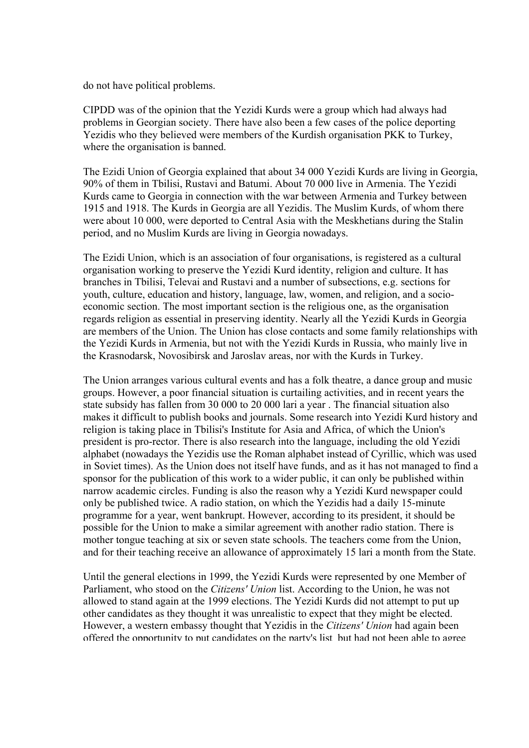do not have political problems.

CIPDD was of the opinion that the Yezidi Kurds were a group which had always had problems in Georgian society. There have also been a few cases of the police deporting Yezidis who they believed were members of the Kurdish organisation PKK to Turkey, where the organisation is banned.

The Ezidi Union of Georgia explained that about 34 000 Yezidi Kurds are living in Georgia, 90% of them in Tbilisi, Rustavi and Batumi. About 70 000 live in Armenia. The Yezidi Kurds came to Georgia in connection with the war between Armenia and Turkey between 1915 and 1918. The Kurds in Georgia are all Yezidis. The Muslim Kurds, of whom there were about 10 000, were deported to Central Asia with the Meskhetians during the Stalin period, and no Muslim Kurds are living in Georgia nowadays.

The Ezidi Union, which is an association of four organisations, is registered as a cultural organisation working to preserve the Yezidi Kurd identity, religion and culture. It has branches in Tbilisi, Televai and Rustavi and a number of subsections, e.g. sections for youth, culture, education and history, language, law, women, and religion, and a socioeconomic section. The most important section is the religious one, as the organisation regards religion as essential in preserving identity. Nearly all the Yezidi Kurds in Georgia are members of the Union. The Union has close contacts and some family relationships with the Yezidi Kurds in Armenia, but not with the Yezidi Kurds in Russia, who mainly live in the Krasnodarsk, Novosibirsk and Jaroslav areas, nor with the Kurds in Turkey.

The Union arranges various cultural events and has a folk theatre, a dance group and music groups. However, a poor financial situation is curtailing activities, and in recent years the state subsidy has fallen from 30 000 to 20 000 lari a year . The financial situation also makes it difficult to publish books and journals. Some research into Yezidi Kurd history and religion is taking place in Tbilisi's Institute for Asia and Africa, of which the Union's president is pro-rector. There is also research into the language, including the old Yezidi alphabet (nowadays the Yezidis use the Roman alphabet instead of Cyrillic, which was used in Soviet times). As the Union does not itself have funds, and as it has not managed to find a sponsor for the publication of this work to a wider public, it can only be published within narrow academic circles. Funding is also the reason why a Yezidi Kurd newspaper could only be published twice. A radio station, on which the Yezidis had a daily 15-minute programme for a year, went bankrupt. However, according to its president, it should be possible for the Union to make a similar agreement with another radio station. There is mother tongue teaching at six or seven state schools. The teachers come from the Union, and for their teaching receive an allowance of approximately 15 lari a month from the State.

Until the general elections in 1999, the Yezidi Kurds were represented by one Member of Parliament, who stood on the *Citizens' Union* list. According to the Union, he was not allowed to stand again at the 1999 elections. The Yezidi Kurds did not attempt to put up other candidates as they thought it was unrealistic to expect that they might be elected. However, a western embassy thought that Yezidis in the *Citizens' Union* had again been offered the opportunity to put candidates on the party's list but had not been able to agree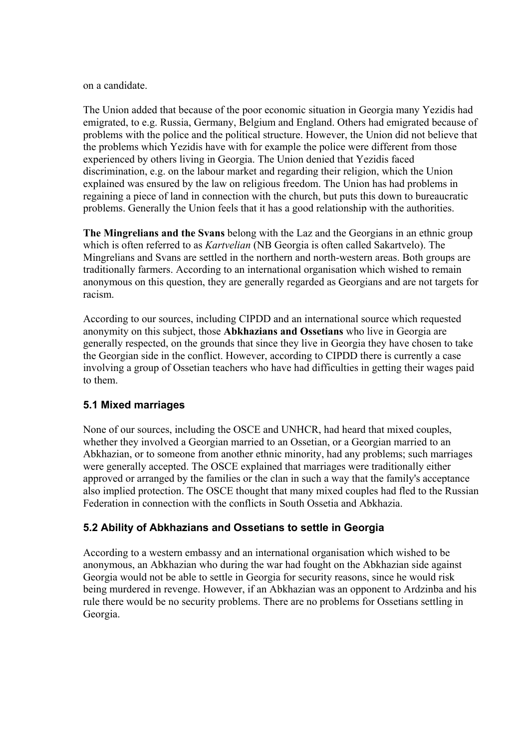on a candidate.

The Union added that because of the poor economic situation in Georgia many Yezidis had emigrated, to e.g. Russia, Germany, Belgium and England. Others had emigrated because of problems with the police and the political structure. However, the Union did not believe that the problems which Yezidis have with for example the police were different from those experienced by others living in Georgia. The Union denied that Yezidis faced discrimination, e.g. on the labour market and regarding their religion, which the Union explained was ensured by the law on religious freedom. The Union has had problems in regaining a piece of land in connection with the church, but puts this down to bureaucratic problems. Generally the Union feels that it has a good relationship with the authorities.

**The Mingrelians and the Svans** belong with the Laz and the Georgians in an ethnic group which is often referred to as *Kartvelian* (NB Georgia is often called Sakartvelo). The Mingrelians and Svans are settled in the northern and north-western areas. Both groups are traditionally farmers. According to an international organisation which wished to remain anonymous on this question, they are generally regarded as Georgians and are not targets for racism.

According to our sources, including CIPDD and an international source which requested anonymity on this subject, those **Abkhazians and Ossetians** who live in Georgia are generally respected, on the grounds that since they live in Georgia they have chosen to take the Georgian side in the conflict. However, according to CIPDD there is currently a case involving a group of Ossetian teachers who have had difficulties in getting their wages paid to them.

#### **5.1 Mixed marriages**

None of our sources, including the OSCE and UNHCR, had heard that mixed couples, whether they involved a Georgian married to an Ossetian, or a Georgian married to an Abkhazian, or to someone from another ethnic minority, had any problems; such marriages were generally accepted. The OSCE explained that marriages were traditionally either approved or arranged by the families or the clan in such a way that the family's acceptance also implied protection. The OSCE thought that many mixed couples had fled to the Russian Federation in connection with the conflicts in South Ossetia and Abkhazia.

## **5.2 Ability of Abkhazians and Ossetians to settle in Georgia**

According to a western embassy and an international organisation which wished to be anonymous, an Abkhazian who during the war had fought on the Abkhazian side against Georgia would not be able to settle in Georgia for security reasons, since he would risk being murdered in revenge. However, if an Abkhazian was an opponent to Ardzinba and his rule there would be no security problems. There are no problems for Ossetians settling in Georgia.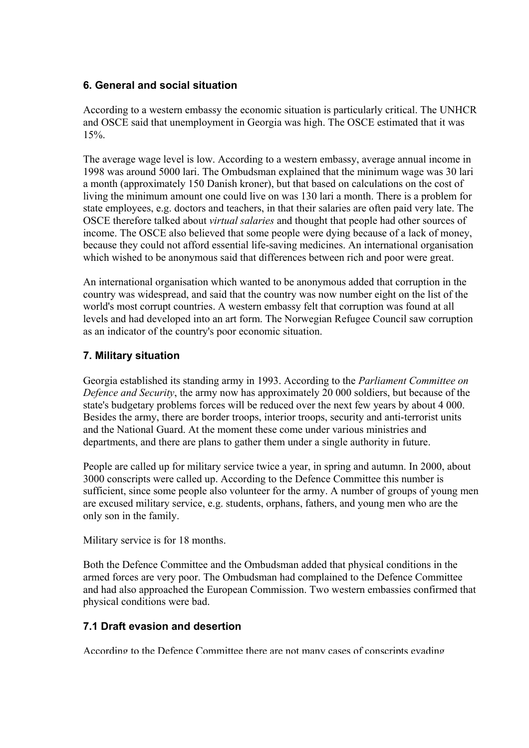## **6. General and social situation**

According to a western embassy the economic situation is particularly critical. The UNHCR and OSCE said that unemployment in Georgia was high. The OSCE estimated that it was 15%.

The average wage level is low. According to a western embassy, average annual income in 1998 was around 5000 lari. The Ombudsman explained that the minimum wage was 30 lari a month (approximately 150 Danish kroner), but that based on calculations on the cost of living the minimum amount one could live on was 130 lari a month. There is a problem for state employees, e.g. doctors and teachers, in that their salaries are often paid very late. The OSCE therefore talked about *virtual salaries* and thought that people had other sources of income. The OSCE also believed that some people were dying because of a lack of money, because they could not afford essential life-saving medicines. An international organisation which wished to be anonymous said that differences between rich and poor were great.

An international organisation which wanted to be anonymous added that corruption in the country was widespread, and said that the country was now number eight on the list of the world's most corrupt countries. A western embassy felt that corruption was found at all levels and had developed into an art form. The Norwegian Refugee Council saw corruption as an indicator of the country's poor economic situation.

## **7. Military situation**

Georgia established its standing army in 1993. According to the *Parliament Committee on Defence and Security*, the army now has approximately 20 000 soldiers, but because of the state's budgetary problems forces will be reduced over the next few years by about 4 000. Besides the army, there are border troops, interior troops, security and anti-terrorist units and the National Guard. At the moment these come under various ministries and departments, and there are plans to gather them under a single authority in future.

People are called up for military service twice a year, in spring and autumn. In 2000, about 3000 conscripts were called up. According to the Defence Committee this number is sufficient, since some people also volunteer for the army. A number of groups of young men are excused military service, e.g. students, orphans, fathers, and young men who are the only son in the family.

Military service is for 18 months.

Both the Defence Committee and the Ombudsman added that physical conditions in the armed forces are very poor. The Ombudsman had complained to the Defence Committee and had also approached the European Commission. Two western embassies confirmed that physical conditions were bad.

## **7.1 Draft evasion and desertion**

According to the Defence Committee there are not many cases of conscripts evading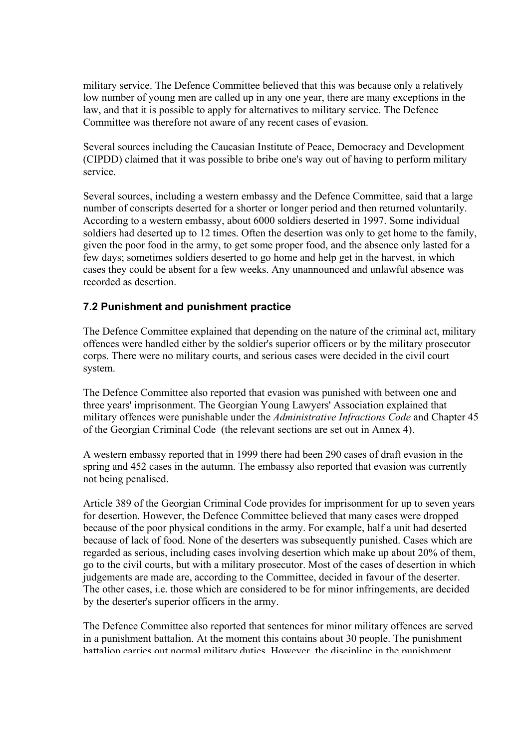military service. The Defence Committee believed that this was because only a relatively low number of young men are called up in any one year, there are many exceptions in the law, and that it is possible to apply for alternatives to military service. The Defence Committee was therefore not aware of any recent cases of evasion.

Several sources including the Caucasian Institute of Peace, Democracy and Development (CIPDD) claimed that it was possible to bribe one's way out of having to perform military service.

Several sources, including a western embassy and the Defence Committee, said that a large number of conscripts deserted for a shorter or longer period and then returned voluntarily. According to a western embassy, about 6000 soldiers deserted in 1997. Some individual soldiers had deserted up to 12 times. Often the desertion was only to get home to the family, given the poor food in the army, to get some proper food, and the absence only lasted for a few days; sometimes soldiers deserted to go home and help get in the harvest, in which cases they could be absent for a few weeks. Any unannounced and unlawful absence was recorded as desertion.

# **7.2 Punishment and punishment practice**

The Defence Committee explained that depending on the nature of the criminal act, military offences were handled either by the soldier's superior officers or by the military prosecutor corps. There were no military courts, and serious cases were decided in the civil court system.

The Defence Committee also reported that evasion was punished with between one and three years' imprisonment. The Georgian Young Lawyers' Association explained that military offences were punishable under the *Administrative Infractions Code* and Chapter 45 of the Georgian Criminal Code (the relevant sections are set out in Annex 4).

A western embassy reported that in 1999 there had been 290 cases of draft evasion in the spring and 452 cases in the autumn. The embassy also reported that evasion was currently not being penalised.

Article 389 of the Georgian Criminal Code provides for imprisonment for up to seven years for desertion. However, the Defence Committee believed that many cases were dropped because of the poor physical conditions in the army. For example, half a unit had deserted because of lack of food. None of the deserters was subsequently punished. Cases which are regarded as serious, including cases involving desertion which make up about 20% of them, go to the civil courts, but with a military prosecutor. Most of the cases of desertion in which judgements are made are, according to the Committee, decided in favour of the deserter. The other cases, i.e. those which are considered to be for minor infringements, are decided by the deserter's superior officers in the army.

The Defence Committee also reported that sentences for minor military offences are served in a punishment battalion. At the moment this contains about 30 people. The punishment battalion carries out normal military duties However the discipline in the punishment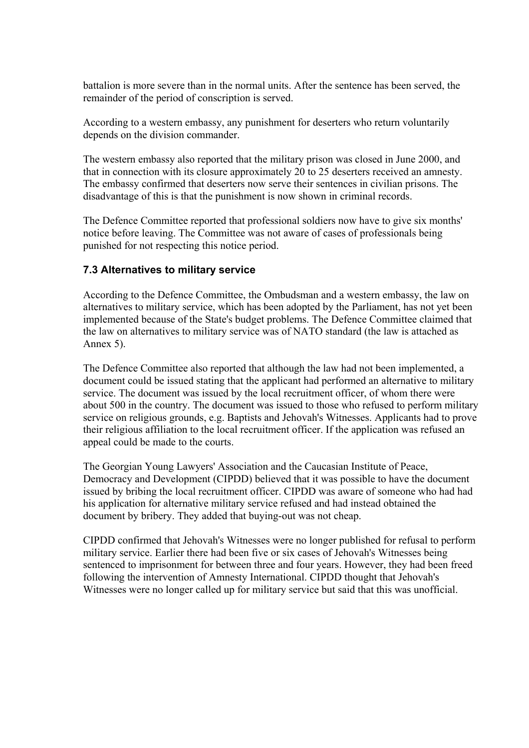battalion is more severe than in the normal units. After the sentence has been served, the remainder of the period of conscription is served.

According to a western embassy, any punishment for deserters who return voluntarily depends on the division commander.

The western embassy also reported that the military prison was closed in June 2000, and that in connection with its closure approximately 20 to 25 deserters received an amnesty. The embassy confirmed that deserters now serve their sentences in civilian prisons. The disadvantage of this is that the punishment is now shown in criminal records.

The Defence Committee reported that professional soldiers now have to give six months' notice before leaving. The Committee was not aware of cases of professionals being punished for not respecting this notice period.

## **7.3 Alternatives to military service**

According to the Defence Committee, the Ombudsman and a western embassy, the law on alternatives to military service, which has been adopted by the Parliament, has not yet been implemented because of the State's budget problems. The Defence Committee claimed that the law on alternatives to military service was of NATO standard (the law is attached as Annex 5).

The Defence Committee also reported that although the law had not been implemented, a document could be issued stating that the applicant had performed an alternative to military service. The document was issued by the local recruitment officer, of whom there were about 500 in the country. The document was issued to those who refused to perform military service on religious grounds, e.g. Baptists and Jehovah's Witnesses. Applicants had to prove their religious affiliation to the local recruitment officer. If the application was refused an appeal could be made to the courts.

The Georgian Young Lawyers' Association and the Caucasian Institute of Peace, Democracy and Development (CIPDD) believed that it was possible to have the document issued by bribing the local recruitment officer. CIPDD was aware of someone who had had his application for alternative military service refused and had instead obtained the document by bribery. They added that buying-out was not cheap.

CIPDD confirmed that Jehovah's Witnesses were no longer published for refusal to perform military service. Earlier there had been five or six cases of Jehovah's Witnesses being sentenced to imprisonment for between three and four years. However, they had been freed following the intervention of Amnesty International. CIPDD thought that Jehovah's Witnesses were no longer called up for military service but said that this was unofficial.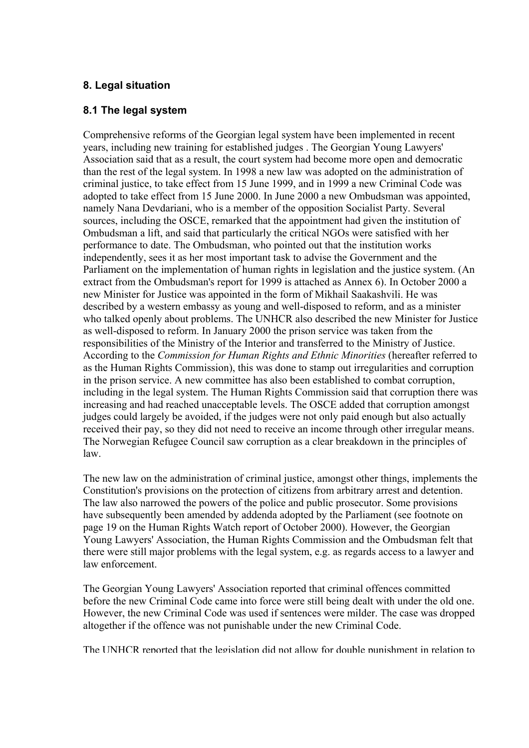## **8. Legal situation**

#### **8.1 The legal system**

Comprehensive reforms of the Georgian legal system have been implemented in recent years, including new training for established judges . The Georgian Young Lawyers' Association said that as a result, the court system had become more open and democratic than the rest of the legal system. In 1998 a new law was adopted on the administration of criminal justice, to take effect from 15 June 1999, and in 1999 a new Criminal Code was adopted to take effect from 15 June 2000. In June 2000 a new Ombudsman was appointed, namely Nana Devdariani, who is a member of the opposition Socialist Party. Several sources, including the OSCE, remarked that the appointment had given the institution of Ombudsman a lift, and said that particularly the critical NGOs were satisfied with her performance to date. The Ombudsman, who pointed out that the institution works independently, sees it as her most important task to advise the Government and the Parliament on the implementation of human rights in legislation and the justice system. (An extract from the Ombudsman's report for 1999 is attached as Annex 6). In October 2000 a new Minister for Justice was appointed in the form of Mikhail Saakashvili. He was described by a western embassy as young and well-disposed to reform, and as a minister who talked openly about problems. The UNHCR also described the new Minister for Justice as well-disposed to reform. In January 2000 the prison service was taken from the responsibilities of the Ministry of the Interior and transferred to the Ministry of Justice. According to the *Commission for Human Rights and Ethnic Minorities* (hereafter referred to as the Human Rights Commission), this was done to stamp out irregularities and corruption in the prison service. A new committee has also been established to combat corruption, including in the legal system. The Human Rights Commission said that corruption there was increasing and had reached unacceptable levels. The OSCE added that corruption amongst judges could largely be avoided, if the judges were not only paid enough but also actually received their pay, so they did not need to receive an income through other irregular means. The Norwegian Refugee Council saw corruption as a clear breakdown in the principles of law.

The new law on the administration of criminal justice, amongst other things, implements the Constitution's provisions on the protection of citizens from arbitrary arrest and detention. The law also narrowed the powers of the police and public prosecutor. Some provisions have subsequently been amended by addenda adopted by the Parliament (see footnote on page 19 on the Human Rights Watch report of October 2000). However, the Georgian Young Lawyers' Association, the Human Rights Commission and the Ombudsman felt that there were still major problems with the legal system, e.g. as regards access to a lawyer and law enforcement.

The Georgian Young Lawyers' Association reported that criminal offences committed before the new Criminal Code came into force were still being dealt with under the old one. However, the new Criminal Code was used if sentences were milder. The case was dropped altogether if the offence was not punishable under the new Criminal Code.

The UNHCR reported that the legislation did not allow for double punishment in relation to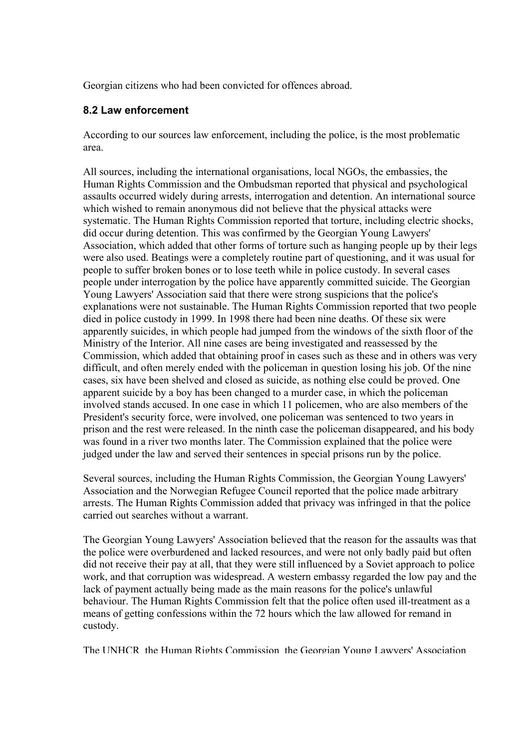Georgian citizens who had been convicted for offences abroad.

## **8.2 Law enforcement**

According to our sources law enforcement, including the police, is the most problematic area.

All sources, including the international organisations, local NGOs, the embassies, the Human Rights Commission and the Ombudsman reported that physical and psychological assaults occurred widely during arrests, interrogation and detention. An international source which wished to remain anonymous did not believe that the physical attacks were systematic. The Human Rights Commission reported that torture, including electric shocks, did occur during detention. This was confirmed by the Georgian Young Lawyers' Association, which added that other forms of torture such as hanging people up by their legs were also used. Beatings were a completely routine part of questioning, and it was usual for people to suffer broken bones or to lose teeth while in police custody. In several cases people under interrogation by the police have apparently committed suicide. The Georgian Young Lawyers' Association said that there were strong suspicions that the police's explanations were not sustainable. The Human Rights Commission reported that two people died in police custody in 1999. In 1998 there had been nine deaths. Of these six were apparently suicides, in which people had jumped from the windows of the sixth floor of the Ministry of the Interior. All nine cases are being investigated and reassessed by the Commission, which added that obtaining proof in cases such as these and in others was very difficult, and often merely ended with the policeman in question losing his job. Of the nine cases, six have been shelved and closed as suicide, as nothing else could be proved. One apparent suicide by a boy has been changed to a murder case, in which the policeman involved stands accused. In one case in which 11 policemen, who are also members of the President's security force, were involved, one policeman was sentenced to two years in prison and the rest were released. In the ninth case the policeman disappeared, and his body was found in a river two months later. The Commission explained that the police were judged under the law and served their sentences in special prisons run by the police.

Several sources, including the Human Rights Commission, the Georgian Young Lawyers' Association and the Norwegian Refugee Council reported that the police made arbitrary arrests. The Human Rights Commission added that privacy was infringed in that the police carried out searches without a warrant.

The Georgian Young Lawyers' Association believed that the reason for the assaults was that the police were overburdened and lacked resources, and were not only badly paid but often did not receive their pay at all, that they were still influenced by a Soviet approach to police work, and that corruption was widespread. A western embassy regarded the low pay and the lack of payment actually being made as the main reasons for the police's unlawful behaviour. The Human Rights Commission felt that the police often used ill-treatment as a means of getting confessions within the 72 hours which the law allowed for remand in custody.

The UNHCR the Human Rights Commission the Georgian Young Lawyers' Association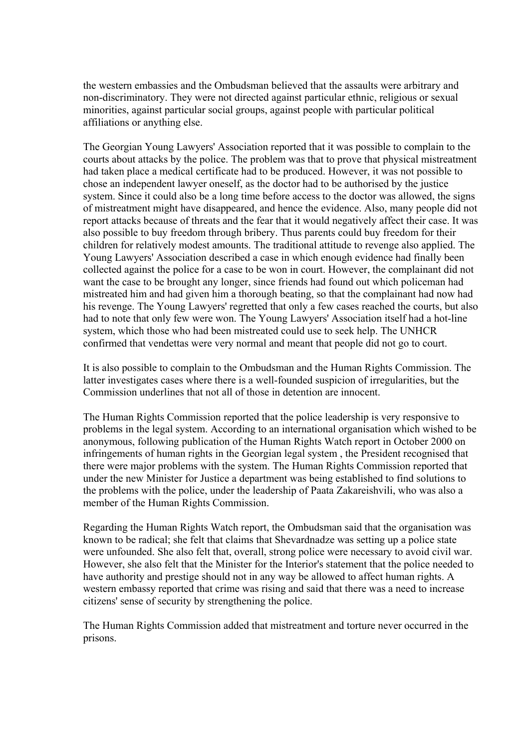the western embassies and the Ombudsman believed that the assaults were arbitrary and non-discriminatory. They were not directed against particular ethnic, religious or sexual minorities, against particular social groups, against people with particular political affiliations or anything else.

The Georgian Young Lawyers' Association reported that it was possible to complain to the courts about attacks by the police. The problem was that to prove that physical mistreatment had taken place a medical certificate had to be produced. However, it was not possible to chose an independent lawyer oneself, as the doctor had to be authorised by the justice system. Since it could also be a long time before access to the doctor was allowed, the signs of mistreatment might have disappeared, and hence the evidence. Also, many people did not report attacks because of threats and the fear that it would negatively affect their case. It was also possible to buy freedom through bribery. Thus parents could buy freedom for their children for relatively modest amounts. The traditional attitude to revenge also applied. The Young Lawyers' Association described a case in which enough evidence had finally been collected against the police for a case to be won in court. However, the complainant did not want the case to be brought any longer, since friends had found out which policeman had mistreated him and had given him a thorough beating, so that the complainant had now had his revenge. The Young Lawyers' regretted that only a few cases reached the courts, but also had to note that only few were won. The Young Lawyers' Association itself had a hot-line system, which those who had been mistreated could use to seek help. The UNHCR confirmed that vendettas were very normal and meant that people did not go to court.

It is also possible to complain to the Ombudsman and the Human Rights Commission. The latter investigates cases where there is a well-founded suspicion of irregularities, but the Commission underlines that not all of those in detention are innocent.

The Human Rights Commission reported that the police leadership is very responsive to problems in the legal system. According to an international organisation which wished to be anonymous, following publication of the Human Rights Watch report in October 2000 on infringements of human rights in the Georgian legal system , the President recognised that there were major problems with the system. The Human Rights Commission reported that under the new Minister for Justice a department was being established to find solutions to the problems with the police, under the leadership of Paata Zakareishvili, who was also a member of the Human Rights Commission.

Regarding the Human Rights Watch report, the Ombudsman said that the organisation was known to be radical; she felt that claims that Shevardnadze was setting up a police state were unfounded. She also felt that, overall, strong police were necessary to avoid civil war. However, she also felt that the Minister for the Interior's statement that the police needed to have authority and prestige should not in any way be allowed to affect human rights. A western embassy reported that crime was rising and said that there was a need to increase citizens' sense of security by strengthening the police.

The Human Rights Commission added that mistreatment and torture never occurred in the prisons.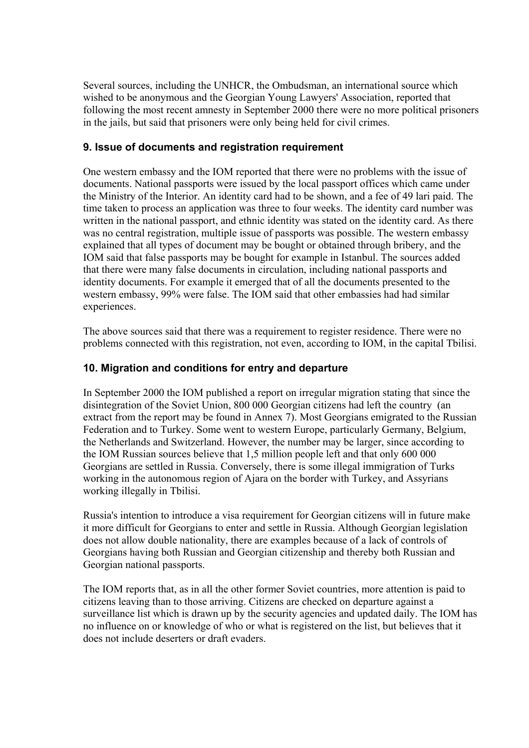Several sources, including the UNHCR, the Ombudsman, an international source which wished to be anonymous and the Georgian Young Lawyers' Association, reported that following the most recent amnesty in September 2000 there were no more political prisoners in the jails, but said that prisoners were only being held for civil crimes.

## **9. Issue of documents and registration requirement**

One western embassy and the IOM reported that there were no problems with the issue of documents. National passports were issued by the local passport offices which came under the Ministry of the Interior. An identity card had to be shown, and a fee of 49 lari paid. The time taken to process an application was three to four weeks. The identity card number was written in the national passport, and ethnic identity was stated on the identity card. As there was no central registration, multiple issue of passports was possible. The western embassy explained that all types of document may be bought or obtained through bribery, and the IOM said that false passports may be bought for example in Istanbul. The sources added that there were many false documents in circulation, including national passports and identity documents. For example it emerged that of all the documents presented to the western embassy, 99% were false. The IOM said that other embassies had had similar experiences.

The above sources said that there was a requirement to register residence. There were no problems connected with this registration, not even, according to IOM, in the capital Tbilisi.

## **10. Migration and conditions for entry and departure**

In September 2000 the IOM published a report on irregular migration stating that since the disintegration of the Soviet Union, 800 000 Georgian citizens had left the country (an extract from the report may be found in Annex 7). Most Georgians emigrated to the Russian Federation and to Turkey. Some went to western Europe, particularly Germany, Belgium, the Netherlands and Switzerland. However, the number may be larger, since according to the IOM Russian sources believe that 1,5 million people left and that only 600 000 Georgians are settled in Russia. Conversely, there is some illegal immigration of Turks working in the autonomous region of Ajara on the border with Turkey, and Assyrians working illegally in Tbilisi.

Russia's intention to introduce a visa requirement for Georgian citizens will in future make it more difficult for Georgians to enter and settle in Russia. Although Georgian legislation does not allow double nationality, there are examples because of a lack of controls of Georgians having both Russian and Georgian citizenship and thereby both Russian and Georgian national passports.

The IOM reports that, as in all the other former Soviet countries, more attention is paid to citizens leaving than to those arriving. Citizens are checked on departure against a surveillance list which is drawn up by the security agencies and updated daily. The IOM has no influence on or knowledge of who or what is registered on the list, but believes that it does not include deserters or draft evaders.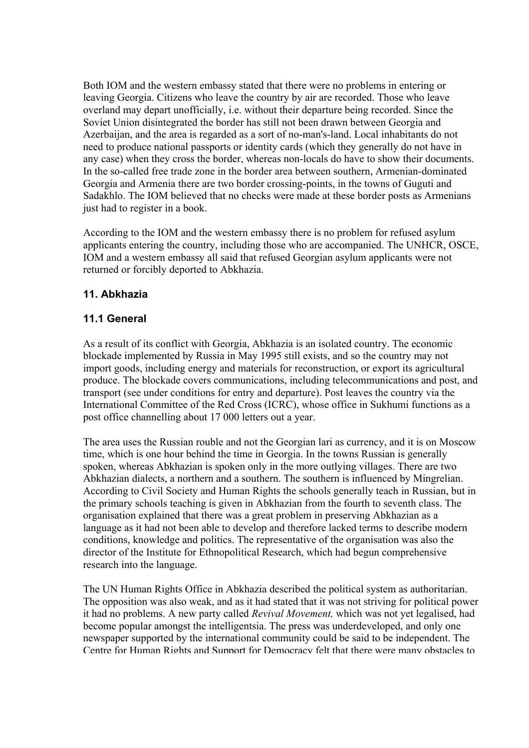Both IOM and the western embassy stated that there were no problems in entering or leaving Georgia. Citizens who leave the country by air are recorded. Those who leave overland may depart unofficially, i.e. without their departure being recorded. Since the Soviet Union disintegrated the border has still not been drawn between Georgia and Azerbaijan, and the area is regarded as a sort of no-man's-land. Local inhabitants do not need to produce national passports or identity cards (which they generally do not have in any case) when they cross the border, whereas non-locals do have to show their documents. In the so-called free trade zone in the border area between southern, Armenian-dominated Georgia and Armenia there are two border crossing-points, in the towns of Guguti and Sadakhlo. The IOM believed that no checks were made at these border posts as Armenians just had to register in a book.

According to the IOM and the western embassy there is no problem for refused asylum applicants entering the country, including those who are accompanied. The UNHCR, OSCE, IOM and a western embassy all said that refused Georgian asylum applicants were not returned or forcibly deported to Abkhazia.

## **11. Abkhazia**

# **11.1 General**

As a result of its conflict with Georgia, Abkhazia is an isolated country. The economic blockade implemented by Russia in May 1995 still exists, and so the country may not import goods, including energy and materials for reconstruction, or export its agricultural produce. The blockade covers communications, including telecommunications and post, and transport (see under conditions for entry and departure). Post leaves the country via the International Committee of the Red Cross (ICRC), whose office in Sukhumi functions as a post office channelling about 17 000 letters out a year.

The area uses the Russian rouble and not the Georgian lari as currency, and it is on Moscow time, which is one hour behind the time in Georgia. In the towns Russian is generally spoken, whereas Abkhazian is spoken only in the more outlying villages. There are two Abkhazian dialects, a northern and a southern. The southern is influenced by Mingrelian. According to Civil Society and Human Rights the schools generally teach in Russian, but in the primary schools teaching is given in Abkhazian from the fourth to seventh class. The organisation explained that there was a great problem in preserving Abkhazian as a language as it had not been able to develop and therefore lacked terms to describe modern conditions, knowledge and politics. The representative of the organisation was also the director of the Institute for Ethnopolitical Research, which had begun comprehensive research into the language.

The UN Human Rights Office in Abkhazia described the political system as authoritarian. The opposition was also weak, and as it had stated that it was not striving for political power it had no problems. A new party called *Revival Movement,* which was not yet legalised, had become popular amongst the intelligentsia. The press was underdeveloped, and only one newspaper supported by the international community could be said to be independent. The Centre for Human Rights and Support for Democracy felt that there were many obstacles to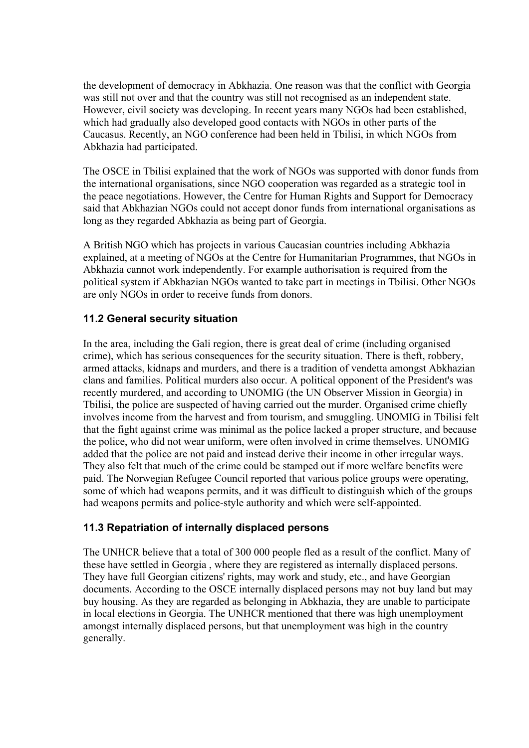the development of democracy in Abkhazia. One reason was that the conflict with Georgia was still not over and that the country was still not recognised as an independent state. However, civil society was developing. In recent years many NGOs had been established, which had gradually also developed good contacts with NGOs in other parts of the Caucasus. Recently, an NGO conference had been held in Tbilisi, in which NGOs from Abkhazia had participated.

The OSCE in Tbilisi explained that the work of NGOs was supported with donor funds from the international organisations, since NGO cooperation was regarded as a strategic tool in the peace negotiations. However, the Centre for Human Rights and Support for Democracy said that Abkhazian NGOs could not accept donor funds from international organisations as long as they regarded Abkhazia as being part of Georgia.

A British NGO which has projects in various Caucasian countries including Abkhazia explained, at a meeting of NGOs at the Centre for Humanitarian Programmes, that NGOs in Abkhazia cannot work independently. For example authorisation is required from the political system if Abkhazian NGOs wanted to take part in meetings in Tbilisi. Other NGOs are only NGOs in order to receive funds from donors.

## **11.2 General security situation**

In the area, including the Gali region, there is great deal of crime (including organised crime), which has serious consequences for the security situation. There is theft, robbery, armed attacks, kidnaps and murders, and there is a tradition of vendetta amongst Abkhazian clans and families. Political murders also occur. A political opponent of the President's was recently murdered, and according to UNOMIG (the UN Observer Mission in Georgia) in Tbilisi, the police are suspected of having carried out the murder. Organised crime chiefly involves income from the harvest and from tourism, and smuggling. UNOMIG in Tbilisi felt that the fight against crime was minimal as the police lacked a proper structure, and because the police, who did not wear uniform, were often involved in crime themselves. UNOMIG added that the police are not paid and instead derive their income in other irregular ways. They also felt that much of the crime could be stamped out if more welfare benefits were paid. The Norwegian Refugee Council reported that various police groups were operating, some of which had weapons permits, and it was difficult to distinguish which of the groups had weapons permits and police-style authority and which were self-appointed.

## **11.3 Repatriation of internally displaced persons**

The UNHCR believe that a total of 300 000 people fled as a result of the conflict. Many of these have settled in Georgia , where they are registered as internally displaced persons. They have full Georgian citizens' rights, may work and study, etc., and have Georgian documents. According to the OSCE internally displaced persons may not buy land but may buy housing. As they are regarded as belonging in Abkhazia, they are unable to participate in local elections in Georgia. The UNHCR mentioned that there was high unemployment amongst internally displaced persons, but that unemployment was high in the country generally.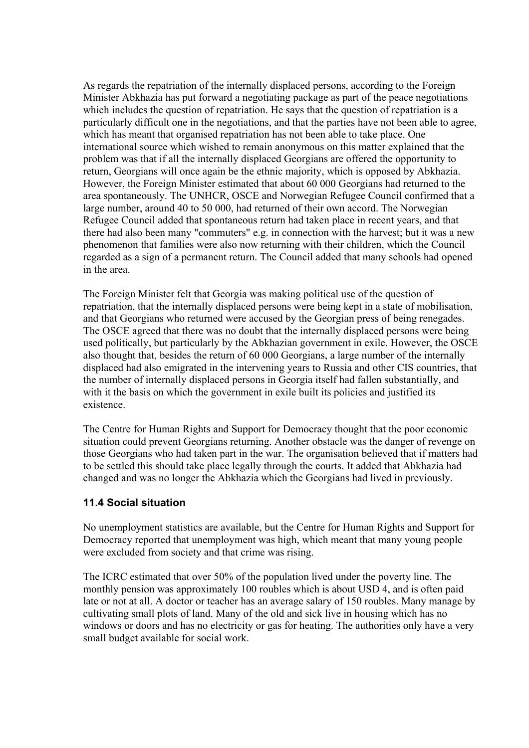As regards the repatriation of the internally displaced persons, according to the Foreign Minister Abkhazia has put forward a negotiating package as part of the peace negotiations which includes the question of repatriation. He says that the question of repatriation is a particularly difficult one in the negotiations, and that the parties have not been able to agree, which has meant that organised repatriation has not been able to take place. One international source which wished to remain anonymous on this matter explained that the problem was that if all the internally displaced Georgians are offered the opportunity to return, Georgians will once again be the ethnic majority, which is opposed by Abkhazia. However, the Foreign Minister estimated that about 60 000 Georgians had returned to the area spontaneously. The UNHCR, OSCE and Norwegian Refugee Council confirmed that a large number, around 40 to 50 000, had returned of their own accord. The Norwegian Refugee Council added that spontaneous return had taken place in recent years, and that there had also been many "commuters" e.g. in connection with the harvest; but it was a new phenomenon that families were also now returning with their children, which the Council regarded as a sign of a permanent return. The Council added that many schools had opened in the area.

The Foreign Minister felt that Georgia was making political use of the question of repatriation, that the internally displaced persons were being kept in a state of mobilisation, and that Georgians who returned were accused by the Georgian press of being renegades. The OSCE agreed that there was no doubt that the internally displaced persons were being used politically, but particularly by the Abkhazian government in exile. However, the OSCE also thought that, besides the return of 60 000 Georgians, a large number of the internally displaced had also emigrated in the intervening years to Russia and other CIS countries, that the number of internally displaced persons in Georgia itself had fallen substantially, and with it the basis on which the government in exile built its policies and justified its existence.

The Centre for Human Rights and Support for Democracy thought that the poor economic situation could prevent Georgians returning. Another obstacle was the danger of revenge on those Georgians who had taken part in the war. The organisation believed that if matters had to be settled this should take place legally through the courts. It added that Abkhazia had changed and was no longer the Abkhazia which the Georgians had lived in previously.

## **11.4 Social situation**

No unemployment statistics are available, but the Centre for Human Rights and Support for Democracy reported that unemployment was high, which meant that many young people were excluded from society and that crime was rising.

The ICRC estimated that over 50% of the population lived under the poverty line. The monthly pension was approximately 100 roubles which is about USD 4, and is often paid late or not at all. A doctor or teacher has an average salary of 150 roubles. Many manage by cultivating small plots of land. Many of the old and sick live in housing which has no windows or doors and has no electricity or gas for heating. The authorities only have a very small budget available for social work.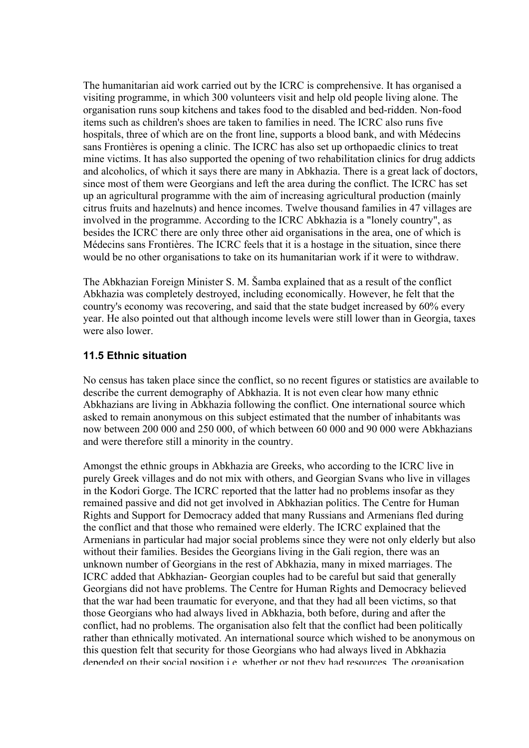The humanitarian aid work carried out by the ICRC is comprehensive. It has organised a visiting programme, in which 300 volunteers visit and help old people living alone. The organisation runs soup kitchens and takes food to the disabled and bed-ridden. Non-food items such as children's shoes are taken to families in need. The ICRC also runs five hospitals, three of which are on the front line, supports a blood bank, and with Médecins sans Frontières is opening a clinic. The ICRC has also set up orthopaedic clinics to treat mine victims. It has also supported the opening of two rehabilitation clinics for drug addicts and alcoholics, of which it says there are many in Abkhazia. There is a great lack of doctors, since most of them were Georgians and left the area during the conflict. The ICRC has set up an agricultural programme with the aim of increasing agricultural production (mainly citrus fruits and hazelnuts) and hence incomes. Twelve thousand families in 47 villages are involved in the programme. According to the ICRC Abkhazia is a "lonely country", as besides the ICRC there are only three other aid organisations in the area, one of which is Médecins sans Frontières. The ICRC feels that it is a hostage in the situation, since there would be no other organisations to take on its humanitarian work if it were to withdraw.

The Abkhazian Foreign Minister S. M. Šamba explained that as a result of the conflict Abkhazia was completely destroyed, including economically. However, he felt that the country's economy was recovering, and said that the state budget increased by 60% every year. He also pointed out that although income levels were still lower than in Georgia, taxes were also lower.

## **11.5 Ethnic situation**

No census has taken place since the conflict, so no recent figures or statistics are available to describe the current demography of Abkhazia. It is not even clear how many ethnic Abkhazians are living in Abkhazia following the conflict. One international source which asked to remain anonymous on this subject estimated that the number of inhabitants was now between 200 000 and 250 000, of which between 60 000 and 90 000 were Abkhazians and were therefore still a minority in the country.

Amongst the ethnic groups in Abkhazia are Greeks, who according to the ICRC live in purely Greek villages and do not mix with others, and Georgian Svans who live in villages in the Kodori Gorge. The ICRC reported that the latter had no problems insofar as they remained passive and did not get involved in Abkhazian politics. The Centre for Human Rights and Support for Democracy added that many Russians and Armenians fled during the conflict and that those who remained were elderly. The ICRC explained that the Armenians in particular had major social problems since they were not only elderly but also without their families. Besides the Georgians living in the Gali region, there was an unknown number of Georgians in the rest of Abkhazia, many in mixed marriages. The ICRC added that Abkhazian- Georgian couples had to be careful but said that generally Georgians did not have problems. The Centre for Human Rights and Democracy believed that the war had been traumatic for everyone, and that they had all been victims, so that those Georgians who had always lived in Abkhazia, both before, during and after the conflict, had no problems. The organisation also felt that the conflict had been politically rather than ethnically motivated. An international source which wished to be anonymous on this question felt that security for those Georgians who had always lived in Abkhazia depended on their social position i e whether or not they had resources The organisation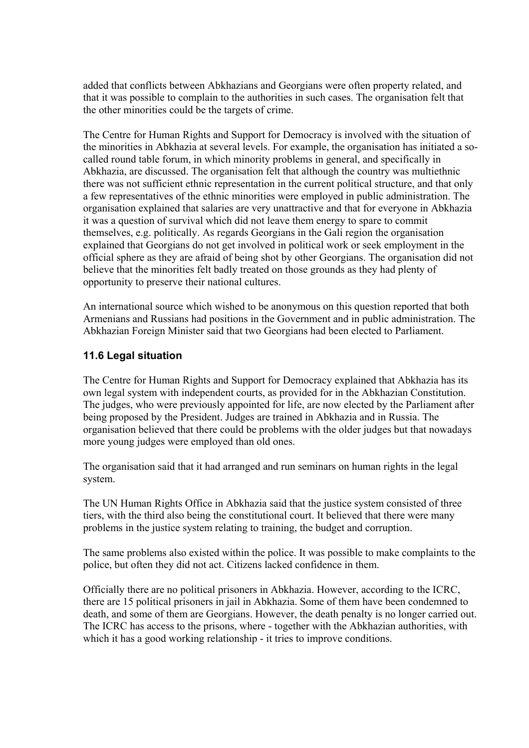added that conflicts between Abkhazians and Georgians were often property related, and that it was possible to complain to the authorities in such cases. The organisation felt that the other minorities could be the targets of crime.

The Centre for Human Rights and Support for Democracy is involved with the situation of the minorities in Abkhazia at several levels. For example, the organisation has initiated a socalled round table forum, in which minority problems in general, and specifically in Abkhazia, are discussed. The organisation felt that although the country was multiethnic there was not sufficient ethnic representation in the current political structure, and that only a few representatives of the ethnic minorities were employed in public administration. The organisation explained that salaries are very unattractive and that for everyone in Abkhazia it was a question of survival which did not leave them energy to spare to commit themselves, e.g. politically. As regards Georgians in the Gali region the organisation explained that Georgians do not get involved in political work or seek employment in the official sphere as they are afraid of being shot by other Georgians. The organisation did not believe that the minorities felt badly treated on those grounds as they had plenty of opportunity to preserve their national cultures.

An international source which wished to be anonymous on this question reported that both Armenians and Russians had positions in the Government and in public administration. The Abkhazian Foreign Minister said that two Georgians had been elected to Parliament.

## **11.6 Legal situation**

The Centre for Human Rights and Support for Democracy explained that Abkhazia has its own legal system with independent courts, as provided for in the Abkhazian Constitution. The judges, who were previously appointed for life, are now elected by the Parliament after being proposed by the President. Judges are trained in Abkhazia and in Russia. The organisation believed that there could be problems with the older judges but that nowadays more young judges were employed than old ones.

The organisation said that it had arranged and run seminars on human rights in the legal system.

The UN Human Rights Office in Abkhazia said that the justice system consisted of three tiers, with the third also being the constitutional court. It believed that there were many problems in the justice system relating to training, the budget and corruption.

The same problems also existed within the police. It was possible to make complaints to the police, but often they did not act. Citizens lacked confidence in them.

Officially there are no political prisoners in Abkhazia. However, according to the ICRC, there are 15 political prisoners in jail in Abkhazia. Some of them have been condemned to death, and some of them are Georgians. However, the death penalty is no longer carried out. The ICRC has access to the prisons, where - together with the Abkhazian authorities, with which it has a good working relationship - it tries to improve conditions.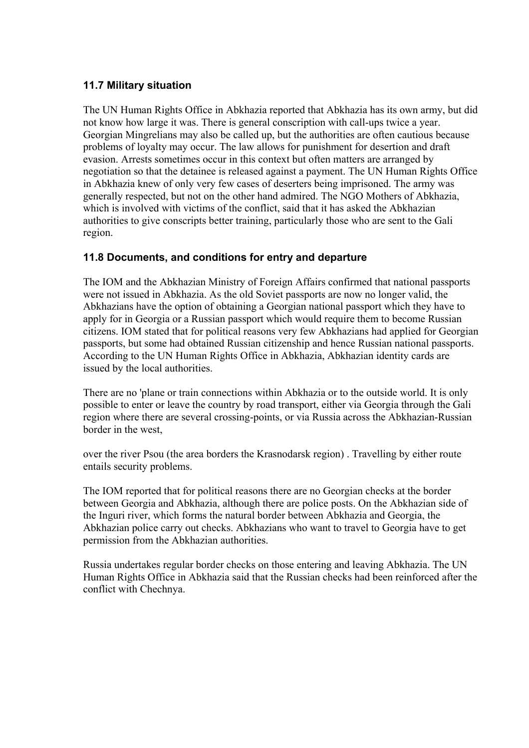## **11.7 Military situation**

The UN Human Rights Office in Abkhazia reported that Abkhazia has its own army, but did not know how large it was. There is general conscription with call-ups twice a year. Georgian Mingrelians may also be called up, but the authorities are often cautious because problems of loyalty may occur. The law allows for punishment for desertion and draft evasion. Arrests sometimes occur in this context but often matters are arranged by negotiation so that the detainee is released against a payment. The UN Human Rights Office in Abkhazia knew of only very few cases of deserters being imprisoned. The army was generally respected, but not on the other hand admired. The NGO Mothers of Abkhazia, which is involved with victims of the conflict, said that it has asked the Abkhazian authorities to give conscripts better training, particularly those who are sent to the Gali region.

# **11.8 Documents, and conditions for entry and departure**

The IOM and the Abkhazian Ministry of Foreign Affairs confirmed that national passports were not issued in Abkhazia. As the old Soviet passports are now no longer valid, the Abkhazians have the option of obtaining a Georgian national passport which they have to apply for in Georgia or a Russian passport which would require them to become Russian citizens. IOM stated that for political reasons very few Abkhazians had applied for Georgian passports, but some had obtained Russian citizenship and hence Russian national passports. According to the UN Human Rights Office in Abkhazia, Abkhazian identity cards are issued by the local authorities.

There are no 'plane or train connections within Abkhazia or to the outside world. It is only possible to enter or leave the country by road transport, either via Georgia through the Gali region where there are several crossing-points, or via Russia across the Abkhazian-Russian border in the west,

over the river Psou (the area borders the Krasnodarsk region) . Travelling by either route entails security problems.

The IOM reported that for political reasons there are no Georgian checks at the border between Georgia and Abkhazia, although there are police posts. On the Abkhazian side of the Inguri river, which forms the natural border between Abkhazia and Georgia, the Abkhazian police carry out checks. Abkhazians who want to travel to Georgia have to get permission from the Abkhazian authorities.

Russia undertakes regular border checks on those entering and leaving Abkhazia. The UN Human Rights Office in Abkhazia said that the Russian checks had been reinforced after the conflict with Chechnya.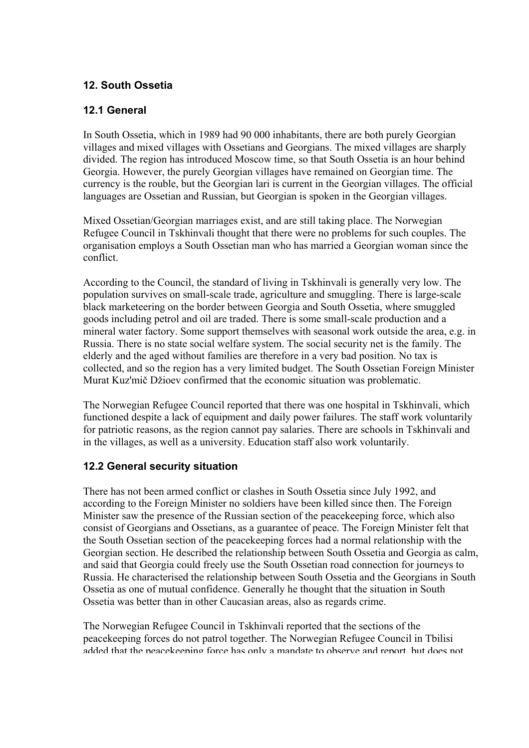# **12. South Ossetia**

## **12.1 General**

In South Ossetia, which in 1989 had 90 000 inhabitants, there are both purely Georgian villages and mixed villages with Ossetians and Georgians. The mixed villages are sharply divided. The region has introduced Moscow time, so that South Ossetia is an hour behind Georgia. However, the purely Georgian villages have remained on Georgian time. The currency is the rouble, but the Georgian lari is current in the Georgian villages. The official languages are Ossetian and Russian, but Georgian is spoken in the Georgian villages.

Mixed Ossetian/Georgian marriages exist, and are still taking place. The Norwegian Refugee Council in Tskhinvali thought that there were no problems for such couples. The organisation employs a South Ossetian man who has married a Georgian woman since the conflict.

According to the Council, the standard of living in Tskhinvali is generally very low. The population survives on small-scale trade, agriculture and smuggling. There is large-scale black marketeering on the border between Georgia and South Ossetia, where smuggled goods including petrol and oil are traded. There is some small-scale production and a mineral water factory. Some support themselves with seasonal work outside the area, e.g. in Russia. There is no state social welfare system. The social security net is the family. The elderly and the aged without families are therefore in a very bad position. No tax is collected, and so the region has a very limited budget. The South Ossetian Foreign Minister Murat Kuz'mič Džioev confirmed that the economic situation was problematic.

The Norwegian Refugee Council reported that there was one hospital in Tskhinvali, which functioned despite a lack of equipment and daily power failures. The staff work voluntarily for patriotic reasons, as the region cannot pay salaries. There are schools in Tskhinvali and in the villages, as well as a university. Education staff also work voluntarily.

## **12.2 General security situation**

There has not been armed conflict or clashes in South Ossetia since July 1992, and according to the Foreign Minister no soldiers have been killed since then. The Foreign Minister saw the presence of the Russian section of the peacekeeping force, which also consist of Georgians and Ossetians, as a guarantee of peace. The Foreign Minister felt that the South Ossetian section of the peacekeeping forces had a normal relationship with the Georgian section. He described the relationship between South Ossetia and Georgia as calm, and said that Georgia could freely use the South Ossetian road connection for journeys to Russia. He characterised the relationship between South Ossetia and the Georgians in South Ossetia as one of mutual confidence. Generally he thought that the situation in South Ossetia was better than in other Caucasian areas, also as regards crime.

The Norwegian Refugee Council in Tskhinvali reported that the sections of the peacekeeping forces do not patrol together. The Norwegian Refugee Council in Tbilisi added that the peacekeeping force has only a mandate to observe and report but does not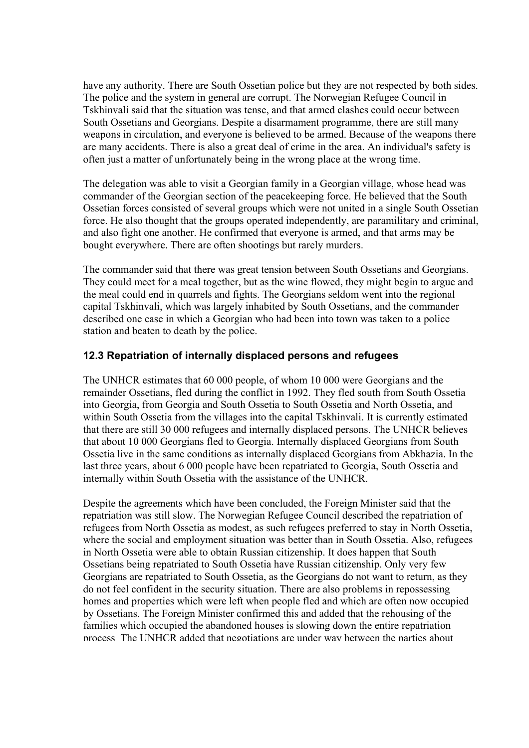have any authority. There are South Ossetian police but they are not respected by both sides. The police and the system in general are corrupt. The Norwegian Refugee Council in Tskhinvali said that the situation was tense, and that armed clashes could occur between South Ossetians and Georgians. Despite a disarmament programme, there are still many weapons in circulation, and everyone is believed to be armed. Because of the weapons there are many accidents. There is also a great deal of crime in the area. An individual's safety is often just a matter of unfortunately being in the wrong place at the wrong time.

The delegation was able to visit a Georgian family in a Georgian village, whose head was commander of the Georgian section of the peacekeeping force. He believed that the South Ossetian forces consisted of several groups which were not united in a single South Ossetian force. He also thought that the groups operated independently, are paramilitary and criminal, and also fight one another. He confirmed that everyone is armed, and that arms may be bought everywhere. There are often shootings but rarely murders.

The commander said that there was great tension between South Ossetians and Georgians. They could meet for a meal together, but as the wine flowed, they might begin to argue and the meal could end in quarrels and fights. The Georgians seldom went into the regional capital Tskhinvali, which was largely inhabited by South Ossetians, and the commander described one case in which a Georgian who had been into town was taken to a police station and beaten to death by the police.

## **12.3 Repatriation of internally displaced persons and refugees**

The UNHCR estimates that 60 000 people, of whom 10 000 were Georgians and the remainder Ossetians, fled during the conflict in 1992. They fled south from South Ossetia into Georgia, from Georgia and South Ossetia to South Ossetia and North Ossetia, and within South Ossetia from the villages into the capital Tskhinvali. It is currently estimated that there are still 30 000 refugees and internally displaced persons. The UNHCR believes that about 10 000 Georgians fled to Georgia. Internally displaced Georgians from South Ossetia live in the same conditions as internally displaced Georgians from Abkhazia. In the last three years, about 6 000 people have been repatriated to Georgia, South Ossetia and internally within South Ossetia with the assistance of the UNHCR.

Despite the agreements which have been concluded, the Foreign Minister said that the repatriation was still slow. The Norwegian Refugee Council described the repatriation of refugees from North Ossetia as modest, as such refugees preferred to stay in North Ossetia, where the social and employment situation was better than in South Ossetia. Also, refugees in North Ossetia were able to obtain Russian citizenship. It does happen that South Ossetians being repatriated to South Ossetia have Russian citizenship. Only very few Georgians are repatriated to South Ossetia, as the Georgians do not want to return, as they do not feel confident in the security situation. There are also problems in repossessing homes and properties which were left when people fled and which are often now occupied by Ossetians. The Foreign Minister confirmed this and added that the rehousing of the families which occupied the abandoned houses is slowing down the entire repatriation process The UNHCR added that negotiations are under way between the parties about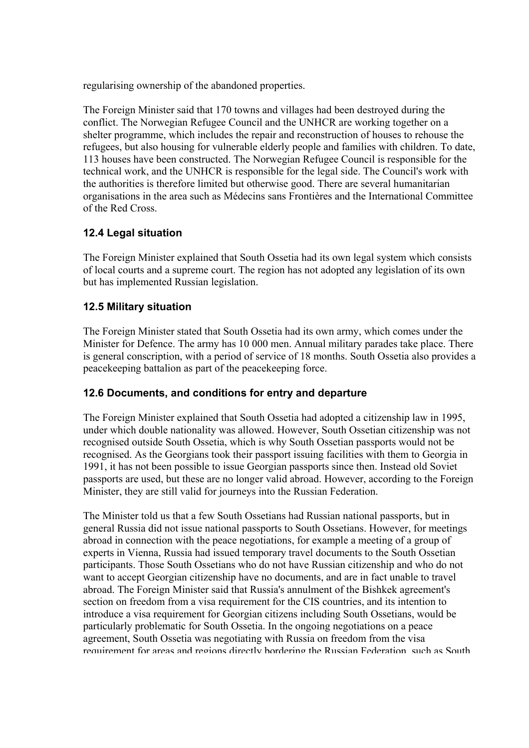regularising ownership of the abandoned properties.

The Foreign Minister said that 170 towns and villages had been destroyed during the conflict. The Norwegian Refugee Council and the UNHCR are working together on a shelter programme, which includes the repair and reconstruction of houses to rehouse the refugees, but also housing for vulnerable elderly people and families with children. To date, 113 houses have been constructed. The Norwegian Refugee Council is responsible for the technical work, and the UNHCR is responsible for the legal side. The Council's work with the authorities is therefore limited but otherwise good. There are several humanitarian organisations in the area such as Médecins sans Frontières and the International Committee of the Red Cross.

## **12.4 Legal situation**

The Foreign Minister explained that South Ossetia had its own legal system which consists of local courts and a supreme court. The region has not adopted any legislation of its own but has implemented Russian legislation.

# **12.5 Military situation**

The Foreign Minister stated that South Ossetia had its own army, which comes under the Minister for Defence. The army has 10 000 men. Annual military parades take place. There is general conscription, with a period of service of 18 months. South Ossetia also provides a peacekeeping battalion as part of the peacekeeping force.

## **12.6 Documents, and conditions for entry and departure**

The Foreign Minister explained that South Ossetia had adopted a citizenship law in 1995, under which double nationality was allowed. However, South Ossetian citizenship was not recognised outside South Ossetia, which is why South Ossetian passports would not be recognised. As the Georgians took their passport issuing facilities with them to Georgia in 1991, it has not been possible to issue Georgian passports since then. Instead old Soviet passports are used, but these are no longer valid abroad. However, according to the Foreign Minister, they are still valid for journeys into the Russian Federation.

The Minister told us that a few South Ossetians had Russian national passports, but in general Russia did not issue national passports to South Ossetians. However, for meetings abroad in connection with the peace negotiations, for example a meeting of a group of experts in Vienna, Russia had issued temporary travel documents to the South Ossetian participants. Those South Ossetians who do not have Russian citizenship and who do not want to accept Georgian citizenship have no documents, and are in fact unable to travel abroad. The Foreign Minister said that Russia's annulment of the Bishkek agreement's section on freedom from a visa requirement for the CIS countries, and its intention to introduce a visa requirement for Georgian citizens including South Ossetians, would be particularly problematic for South Ossetia. In the ongoing negotiations on a peace agreement, South Ossetia was negotiating with Russia on freedom from the visa requirement for areas and regions directly bordering the Russian Federation such as South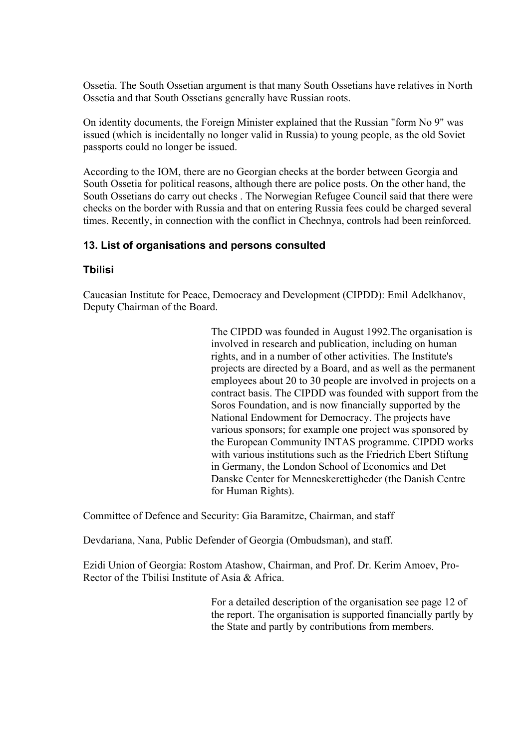Ossetia. The South Ossetian argument is that many South Ossetians have relatives in North Ossetia and that South Ossetians generally have Russian roots.

On identity documents, the Foreign Minister explained that the Russian "form No 9" was issued (which is incidentally no longer valid in Russia) to young people, as the old Soviet passports could no longer be issued.

According to the IOM, there are no Georgian checks at the border between Georgia and South Ossetia for political reasons, although there are police posts. On the other hand, the South Ossetians do carry out checks . The Norwegian Refugee Council said that there were checks on the border with Russia and that on entering Russia fees could be charged several times. Recently, in connection with the conflict in Chechnya, controls had been reinforced.

## **13. List of organisations and persons consulted**

## **Tbilisi**

Caucasian Institute for Peace, Democracy and Development (CIPDD): Emil Adelkhanov, Deputy Chairman of the Board.

> The CIPDD was founded in August 1992.The organisation is involved in research and publication, including on human rights, and in a number of other activities. The Institute's projects are directed by a Board, and as well as the permanent employees about 20 to 30 people are involved in projects on a contract basis. The CIPDD was founded with support from the Soros Foundation, and is now financially supported by the National Endowment for Democracy. The projects have various sponsors; for example one project was sponsored by the European Community INTAS programme. CIPDD works with various institutions such as the Friedrich Ebert Stiftung in Germany, the London School of Economics and Det Danske Center for Menneskerettigheder (the Danish Centre for Human Rights).

Committee of Defence and Security: Gia Baramitze, Chairman, and staff

Devdariana, Nana, Public Defender of Georgia (Ombudsman), and staff.

Ezidi Union of Georgia: Rostom Atashow, Chairman, and Prof. Dr. Kerim Amoev, Pro-Rector of the Tbilisi Institute of Asia & Africa.

> For a detailed description of the organisation see page 12 of the report. The organisation is supported financially partly by the State and partly by contributions from members.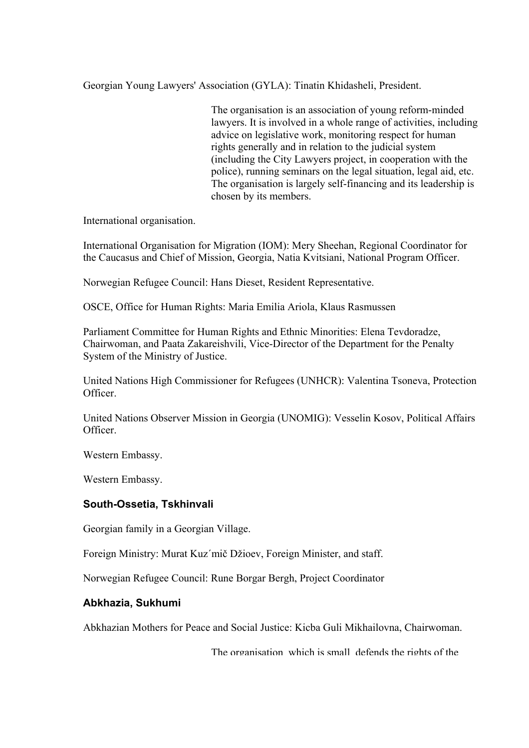Georgian Young Lawyers' Association (GYLA): Tinatin Khidasheli, President.

The organisation is an association of young reform-minded lawyers. It is involved in a whole range of activities, including advice on legislative work, monitoring respect for human rights generally and in relation to the judicial system (including the City Lawyers project, in cooperation with the police), running seminars on the legal situation, legal aid, etc. The organisation is largely self-financing and its leadership is chosen by its members.

International organisation.

International Organisation for Migration (IOM): Mery Sheehan, Regional Coordinator for the Caucasus and Chief of Mission, Georgia, Natia Kvitsiani, National Program Officer.

Norwegian Refugee Council: Hans Dieset, Resident Representative.

OSCE, Office for Human Rights: Maria Emilia Ariola, Klaus Rasmussen

Parliament Committee for Human Rights and Ethnic Minorities: Elena Tevdoradze, Chairwoman, and Paata Zakareishvili, Vice-Director of the Department for the Penalty System of the Ministry of Justice.

United Nations High Commissioner for Refugees (UNHCR): Valentina Tsoneva, Protection Officer.

United Nations Observer Mission in Georgia (UNOMIG): Vesselin Kosov, Political Affairs **Officer** 

Western Embassy.

Western Embassy.

#### **South-Ossetia, Tskhinvali**

Georgian family in a Georgian Village.

Foreign Ministry: Murat Kuz´mič Džioev, Foreign Minister, and staff.

Norwegian Refugee Council: Rune Borgar Bergh, Project Coordinator

#### **Abkhazia, Sukhumi**

Abkhazian Mothers for Peace and Social Justice: Kicba Guli Mikhailovna, Chairwoman.

The organisation which is small defends the rights of the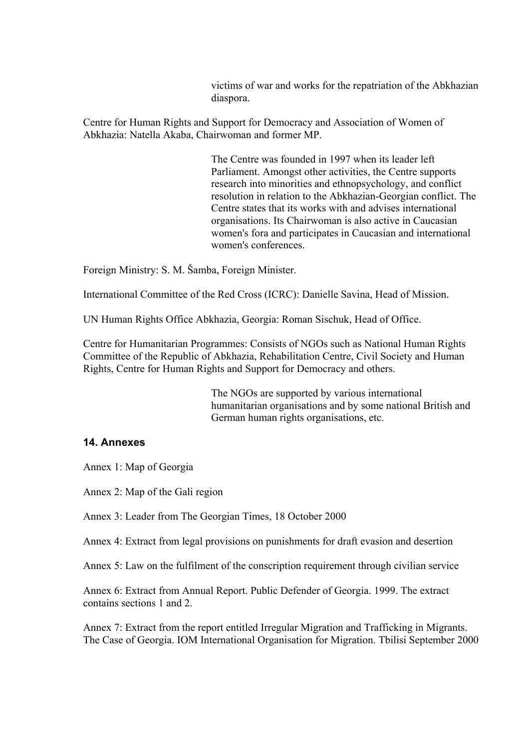victims of war and works for the repatriation of the Abkhazian diaspora.

Centre for Human Rights and Support for Democracy and Association of Women of Abkhazia: Natella Akaba, Chairwoman and former MP.

> The Centre was founded in 1997 when its leader left Parliament. Amongst other activities, the Centre supports research into minorities and ethnopsychology, and conflict resolution in relation to the Abkhazian-Georgian conflict. The Centre states that its works with and advises international organisations. Its Chairwoman is also active in Caucasian women's fora and participates in Caucasian and international women's conferences.

Foreign Ministry: S. M. Šamba, Foreign Minister.

International Committee of the Red Cross (ICRC): Danielle Savina, Head of Mission.

UN Human Rights Office Abkhazia, Georgia: Roman Sischuk, Head of Office.

Centre for Humanitarian Programmes: Consists of NGOs such as National Human Rights Committee of the Republic of Abkhazia, Rehabilitation Centre, Civil Society and Human Rights, Centre for Human Rights and Support for Democracy and others.

> The NGOs are supported by various international humanitarian organisations and by some national British and German human rights organisations, etc.

#### **14. Annexes**

Annex 1: Map of Georgia

Annex 2: Map of the Gali region

Annex 3: Leader from The Georgian Times, 18 October 2000

Annex 4: Extract from legal provisions on punishments for draft evasion and desertion

Annex 5: Law on the fulfilment of the conscription requirement through civilian service

Annex 6: Extract from Annual Report. Public Defender of Georgia. 1999. The extract contains sections 1 and 2.

Annex 7: Extract from the report entitled Irregular Migration and Trafficking in Migrants. The Case of Georgia. IOM International Organisation for Migration. Tbilisi September 2000